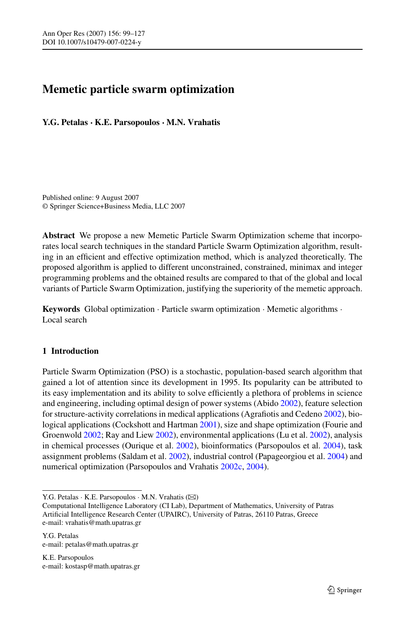# **Memetic particle swarm optimization**

**Y.G. Petalas · K.E. Parsopoulos · M.N. Vrahatis**

Published online: 9 August 2007 © Springer Science+Business Media, LLC 2007

**Abstract** We propose a new Memetic Particle Swarm Optimization scheme that incorporates local search techniques in the standard Particle Swarm Optimization algorithm, resulting in an efficient and effective optimization method, which is analyzed theoretically. The proposed algorithm is applied to different unconstrained, constrained, minimax and integer programming problems and the obtained results are compared to that of the global and local variants of Particle Swarm Optimization, justifying the superiority of the memetic approach.

**Keywords** Global optimization · Particle swarm optimization · Memetic algorithms · Local search

# **1 Introduction**

Particle Swarm Optimization (PSO) is a stochastic, population-based search algorithm that gained a lot of attention since its development in 1995. Its popularity can be attributed to its easy implementation and its ability to solve efficiently a plethora of problems in science and engineering, including optimal design of power systems (Abido [2002\)](#page-26-0), feature selection for structure-activity correlations in medical applications (Agrafiotis and Cedeno [2002\)](#page-26-0), biological applications (Cockshott and Hartman [2001\)](#page-26-0), size and shape optimization (Fourie and Groenwold [2002](#page-26-0); Ray and Liew [2002](#page-28-0)), environmental applications (Lu et al. [2002\)](#page-27-0), analysis in chemical processes (Ourique et al. [2002](#page-27-0)), bioinformatics (Parsopoulos et al. [2004](#page-27-0)), task assignment problems (Saldam et al. [2002](#page-28-0)), industrial control (Papageorgiou et al. [2004\)](#page-27-0) and numerical optimization (Parsopoulos and Vrahatis [2002c,](#page-27-0) [2004](#page-27-0)).

Y.G. Petalas · K.E. Parsopoulos · M.N. Vrahatis ( $\boxtimes$ )

Computational Intelligence Laboratory (CI Lab), Department of Mathematics, University of Patras Artificial Intelligence Research Center (UPAIRC), University of Patras, 26110 Patras, Greece e-mail: vrahatis@math.upatras.gr

Y.G. Petalas e-mail: petalas@math.upatras.gr

K.E. Parsopoulos e-mail: kostasp@math.upatras.gr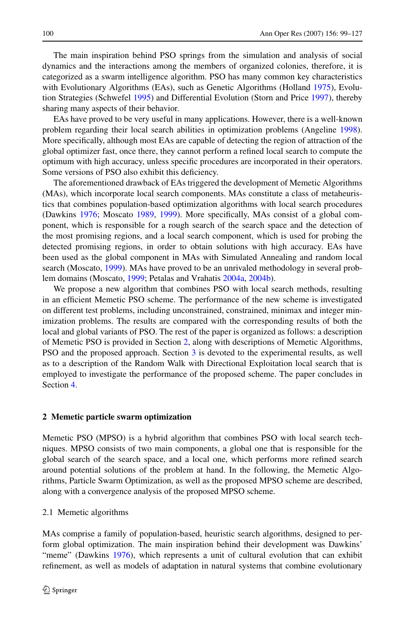The main inspiration behind PSO springs from the simulation and analysis of social dynamics and the interactions among the members of organized colonies, therefore, it is categorized as a swarm intelligence algorithm. PSO has many common key characteristics with Evolutionary Algorithms (EAs), such as Genetic Algorithms (Holland [1975](#page-27-0)), Evolution Strategies (Schwefel [1995\)](#page-28-0) and Differential Evolution (Storn and Price [1997\)](#page-28-0), thereby sharing many aspects of their behavior.

EAs have proved to be very useful in many applications. However, there is a well-known problem regarding their local search abilities in optimization problems (Angeline [1998](#page-26-0)). More specifically, although most EAs are capable of detecting the region of attraction of the global optimizer fast, once there, they cannot perform a refined local search to compute the optimum with high accuracy, unless specific procedures are incorporated in their operators. Some versions of PSO also exhibit this deficiency.

The aforementioned drawback of EAs triggered the development of Memetic Algorithms (MAs), which incorporate local search components. MAs constitute a class of metaheuristics that combines population-based optimization algorithms with local search procedures (Dawkins [1976](#page-26-0); Moscato [1989](#page-27-0), [1999](#page-27-0)). More specifically, MAs consist of a global component, which is responsible for a rough search of the search space and the detection of the most promising regions, and a local search component, which is used for probing the detected promising regions, in order to obtain solutions with high accuracy. EAs have been used as the global component in MAs with Simulated Annealing and random local search (Moscato, [1999\)](#page-27-0). MAs have proved to be an unrivaled methodology in several problem domains (Moscato, [1999](#page-27-0); Petalas and Vrahatis [2004a](#page-27-0), [2004b](#page-28-0)).

We propose a new algorithm that combines PSO with local search methods, resulting in an efficient Memetic PSO scheme. The performance of the new scheme is investigated on different test problems, including unconstrained, constrained, minimax and integer minimization problems. The results are compared with the corresponding results of both the local and global variants of PSO. The rest of the paper is organized as follows: a description of Memetic PSO is provided in Section 2, along with descriptions of Memetic Algorithms, PSO and the proposed approach. Section [3](#page-7-0) is devoted to the experimental results, as well as to a description of the Random Walk with Directional Exploitation local search that is employed to investigate the performance of the proposed scheme. The paper concludes in Section [4](#page-26-0).

#### **2 Memetic particle swarm optimization**

Memetic PSO (MPSO) is a hybrid algorithm that combines PSO with local search techniques. MPSO consists of two main components, a global one that is responsible for the global search of the search space, and a local one, which performs more refined search around potential solutions of the problem at hand. In the following, the Memetic Algorithms, Particle Swarm Optimization, as well as the proposed MPSO scheme are described, along with a convergence analysis of the proposed MPSO scheme.

## 2.1 Memetic algorithms

MAs comprise a family of population-based, heuristic search algorithms, designed to perform global optimization. The main inspiration behind their development was Dawkins' "meme" (Dawkins [1976\)](#page-26-0), which represents a unit of cultural evolution that can exhibit refinement, as well as models of adaptation in natural systems that combine evolutionary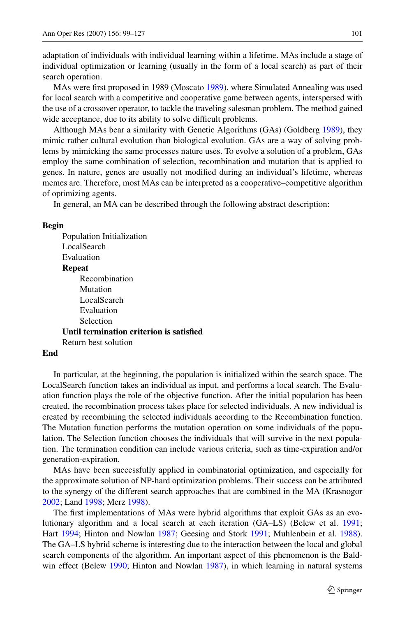adaptation of individuals with individual learning within a lifetime. MAs include a stage of individual optimization or learning (usually in the form of a local search) as part of their search operation.

MAs were first proposed in 1989 (Moscato [1989\)](#page-27-0), where Simulated Annealing was used for local search with a competitive and cooperative game between agents, interspersed with the use of a crossover operator, to tackle the traveling salesman problem. The method gained wide acceptance, due to its ability to solve difficult problems.

Although MAs bear a similarity with Genetic Algorithms (GAs) (Goldberg [1989](#page-26-0)), they mimic rather cultural evolution than biological evolution. GAs are a way of solving problems by mimicking the same processes nature uses. To evolve a solution of a problem, GAs employ the same combination of selection, recombination and mutation that is applied to genes. In nature, genes are usually not modified during an individual's lifetime, whereas memes are. Therefore, most MAs can be interpreted as a cooperative–competitive algorithm of optimizing agents.

In general, an MA can be described through the following abstract description:

#### **Begin**

Population Initialization LocalSearch Evaluation **Repeat** Recombination Mutation LocalSearch Evaluation Selection **Until termination criterion is satisfied** Return best solution

# **End**

In particular, at the beginning, the population is initialized within the search space. The LocalSearch function takes an individual as input, and performs a local search. The Evaluation function plays the role of the objective function. After the initial population has been created, the recombination process takes place for selected individuals. A new individual is created by recombining the selected individuals according to the Recombination function. The Mutation function performs the mutation operation on some individuals of the population. The Selection function chooses the individuals that will survive in the next population. The termination condition can include various criteria, such as time-expiration and/or generation-expiration.

MAs have been successfully applied in combinatorial optimization, and especially for the approximate solution of NP-hard optimization problems. Their success can be attributed to the synergy of the different search approaches that are combined in the MA (Krasnogor [2002;](#page-27-0) Land [1998;](#page-27-0) Merz [1998\)](#page-27-0).

The first implementations of MAs were hybrid algorithms that exploit GAs as an evolutionary algorithm and a local search at each iteration (GA–LS) (Belew et al. [1991;](#page-26-0) Hart [1994;](#page-27-0) Hinton and Nowlan [1987](#page-27-0); Geesing and Stork [1991](#page-26-0); Muhlenbein et al. [1988](#page-27-0)). The GA–LS hybrid scheme is interesting due to the interaction between the local and global search components of the algorithm. An important aspect of this phenomenon is the Baldwin effect (Belew [1990](#page-26-0); Hinton and Nowlan [1987](#page-27-0)), in which learning in natural systems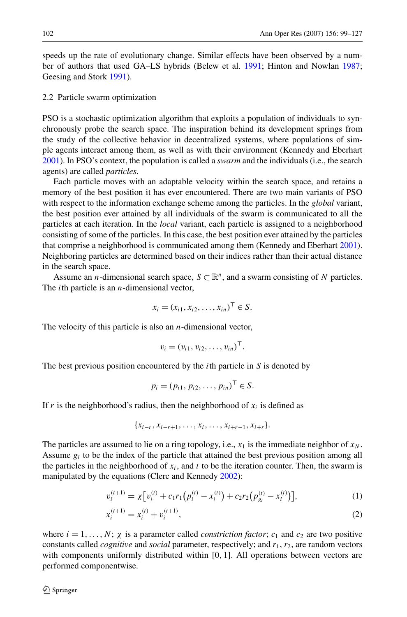<span id="page-3-0"></span>speeds up the rate of evolutionary change. Similar effects have been observed by a number of authors that used GA–LS hybrids (Belew et al. [1991;](#page-26-0) Hinton and Nowlan [1987;](#page-27-0) Geesing and Stork [1991](#page-26-0)).

#### 2.2 Particle swarm optimization

PSO is a stochastic optimization algorithm that exploits a population of individuals to synchronously probe the search space. The inspiration behind its development springs from the study of the collective behavior in decentralized systems, where populations of simple agents interact among them, as well as with their environment (Kennedy and Eberhart [2001\)](#page-27-0). In PSO's context, the population is called a *swarm* and the individuals (i.e., the search agents) are called *particles*.

Each particle moves with an adaptable velocity within the search space, and retains a memory of the best position it has ever encountered. There are two main variants of PSO with respect to the information exchange scheme among the particles. In the *global* variant, the best position ever attained by all individuals of the swarm is communicated to all the particles at each iteration. In the *local* variant, each particle is assigned to a neighborhood consisting of some of the particles. In this case, the best position ever attained by the particles that comprise a neighborhood is communicated among them (Kennedy and Eberhart [2001](#page-27-0)). Neighboring particles are determined based on their indices rather than their actual distance in the search space.

Assume an *n*-dimensional search space,  $S \subset \mathbb{R}^n$ , and a swarm consisting of *N* particles. The *i*th particle is an *n*-dimensional vector,

$$
x_i = (x_{i1}, x_{i2}, \dots, x_{in})^\top \in S.
$$

The velocity of this particle is also an *n*-dimensional vector,

$$
v_i = (v_{i1}, v_{i2}, \ldots, v_{in})^\top.
$$

The best previous position encountered by the *i*th particle in *S* is denoted by

$$
p_i = (p_{i1}, p_{i2}, \dots, p_{in})^\top \in S.
$$

If  $r$  is the neighborhood's radius, then the neighborhood of  $x_i$  is defined as

 ${x_{i-r}, x_{i-r+1}, \ldots, x_i, \ldots, x_{i+r-1}, x_{i+r}}.$ 

The particles are assumed to lie on a ring topology, i.e.,  $x_1$  is the immediate neighbor of  $x_N$ . Assume  $g_i$  to be the index of the particle that attained the best previous position among all the particles in the neighborhood of  $x_i$ , and  $t$  to be the iteration counter. Then, the swarm is manipulated by the equations (Clerc and Kennedy [2002\)](#page-26-0):

$$
v_i^{(t+1)} = \chi \big[ v_i^{(t)} + c_1 r_1 \big( p_i^{(t)} - x_i^{(t)} \big) + c_2 r_2 \big( p_{g_i}^{(t)} - x_i^{(t)} \big) \big],\tag{1}
$$

$$
x_i^{(t+1)} = x_i^{(t)} + v_i^{(t+1)},\tag{2}
$$

where  $i = 1, \ldots, N$ ;  $\chi$  is a parameter called *constriction factor*;  $c_1$  and  $c_2$  are two positive constants called *cognitive* and *social* parameter, respectively; and *r*1, *r*2, are random vectors with components uniformly distributed within [0*,* 1]. All operations between vectors are performed componentwise.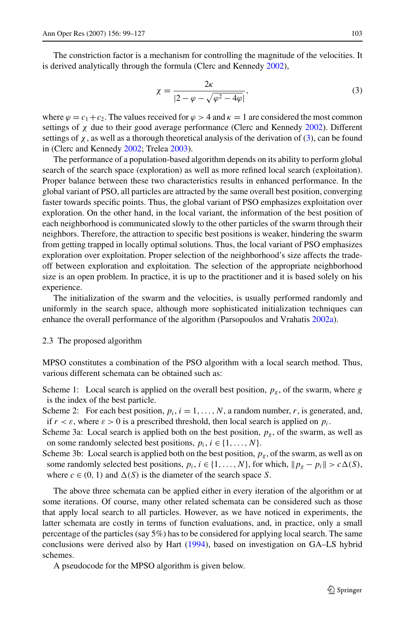The constriction factor is a mechanism for controlling the magnitude of the velocities. It is derived analytically through the formula (Clerc and Kennedy [2002\)](#page-26-0),

$$
\chi = \frac{2\kappa}{|2 - \varphi - \sqrt{\varphi^2 - 4\varphi}|},\tag{3}
$$

where  $\varphi = c_1 + c_2$ . The values received for  $\varphi > 4$  and  $\kappa = 1$  are considered the most common settings of *χ* due to their good average performance (Clerc and Kennedy [2002\)](#page-26-0). Different settings of  $\chi$ , as well as a thorough theoretical analysis of the derivation of (3), can be found in (Clerc and Kennedy [2002;](#page-26-0) Trelea [2003\)](#page-28-0).

The performance of a population-based algorithm depends on its ability to perform global search of the search space (exploration) as well as more refined local search (exploitation). Proper balance between these two characteristics results in enhanced performance. In the global variant of PSO, all particles are attracted by the same overall best position, converging faster towards specific points. Thus, the global variant of PSO emphasizes exploitation over exploration. On the other hand, in the local variant, the information of the best position of each neighborhood is communicated slowly to the other particles of the swarm through their neighbors. Therefore, the attraction to specific best positions is weaker, hindering the swarm from getting trapped in locally optimal solutions. Thus, the local variant of PSO emphasizes exploration over exploitation. Proper selection of the neighborhood's size affects the tradeoff between exploration and exploitation. The selection of the appropriate neighborhood size is an open problem. In practice, it is up to the practitioner and it is based solely on his experience.

The initialization of the swarm and the velocities, is usually performed randomly and uniformly in the search space, although more sophisticated initialization techniques can enhance the overall performance of the algorithm (Parsopoulos and Vrahatis [2002a](#page-27-0)).

#### 2.3 The proposed algorithm

MPSO constitutes a combination of the PSO algorithm with a local search method. Thus, various different schemata can be obtained such as:

Scheme 1: Local search is applied on the overall best position,  $p_g$ , of the swarm, where  $g$ is the index of the best particle.

- Scheme 2: For each best position,  $p_i$ ,  $i = 1, \ldots, N$ , a random number, r, is generated, and, if  $r < \varepsilon$ , where  $\varepsilon > 0$  is a prescribed threshold, then local search is applied on  $p_i$ .
- Scheme 3a: Local search is applied both on the best position,  $p_g$ , of the swarm, as well as on some randomly selected best positions,  $p_i$ ,  $i \in \{1, ..., N\}$ .
- Scheme 3b: Local search is applied both on the best position,  $p_g$ , of the swarm, as well as on some randomly selected best positions,  $p_i$ ,  $i \in \{1, ..., N\}$ , for which,  $||p_g - p_i|| > c\Delta(S)$ , where  $c \in (0, 1)$  and  $\Delta(S)$  is the diameter of the search space *S*.

The above three schemata can be applied either in every iteration of the algorithm or at some iterations. Of course, many other related schemata can be considered such as those that apply local search to all particles. However, as we have noticed in experiments, the latter schemata are costly in terms of function evaluations, and, in practice, only a small percentage of the particles (say  $5\%$ ) has to be considered for applying local search. The same conclusions were derived also by Hart ([1994\)](#page-27-0), based on investigation on GA–LS hybrid schemes.

A pseudocode for the MPSO algorithm is given below.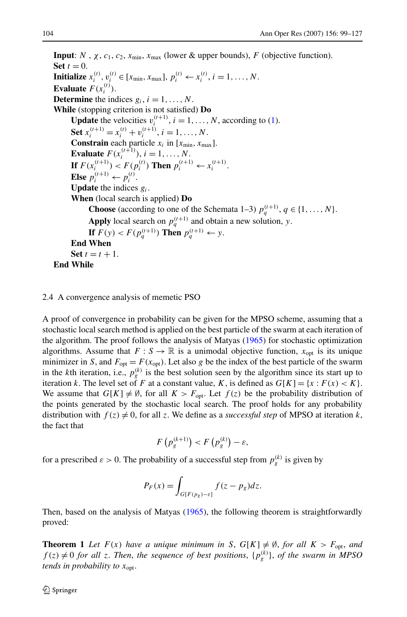**Input**:  $N$ ,  $\chi$ ,  $c_1$ ,  $c_2$ ,  $x_{\text{min}}$ ,  $x_{\text{max}}$  (lower & upper bounds),  $F$  (objective function). **Set**  $t = 0$ . **Initialize**  $x_i^{(t)}, y_i^{(t)} \in [x_{\min}, x_{\max}], p_i^{(t)} \leftarrow x_i^{(t)}, i = 1, ..., N$ . **Evaluate**  $F(x_i^{(t)})$ . **Determine** the indices  $g_i$ ,  $i = 1, ..., N$ . **While** (stopping criterion is not satisfied) **Do Update** the velocities  $v_i^{(t+1)}$  $v_i^{(t+1)}$  $v_i^{(t+1)}$ ,  $i = 1, ..., N$ , according to (1). **Set**  $x_i^{(t+1)} = x_i^{(t)} + v_i^{(t+1)}$ ,  $i = 1, ..., N$ . **Constrain** each particle  $x_i$  in  $[x_{min}, x_{max}]$ . **Evaluate**  $F(x_i^{(t+1)}), i = 1, ..., N$ . **If**  $F(x_i^{(t+1)}) < F(p_i^{(t)})$  **Then**  $p_i^{(t+1)} \leftarrow x_i^{(t+1)}$ . **Else**  $p_i^{(t+1)} \leftarrow p_i^{(t)}$ . **Update** the indices *gi*. **When** (local search is applied) **Do Choose** (according to one of the Schemata 1–3)  $p_a^{(t+1)}$ ,  $q \in \{1, ..., N\}$ . **Apply** local search on  $p_q^{(t+1)}$  and obtain a new solution, *y*. **If**  $F(y) < F(p_a^{(t+1)})$  **Then**  $p_a^{(t+1)}$  ← *y*. **End When Set**  $t = t + 1$ . **End While**

#### 2.4 A convergence analysis of memetic PSO

A proof of convergence in probability can be given for the MPSO scheme, assuming that a stochastic local search method is applied on the best particle of the swarm at each iteration of the algorithm. The proof follows the analysis of Matyas [\(1965](#page-27-0)) for stochastic optimization algorithms. Assume that  $F : S \to \mathbb{R}$  is a unimodal objective function,  $x_{opt}$  is its unique minimizer in *S*, and  $F_{opt} = F(x_{opt})$ . Let also *g* be the index of the best particle of the swarm in the *k*th iteration, i.e.,  $p_g^{(k)}$  is the best solution seen by the algorithm since its start up to iteration *k*. The level set of *F* at a constant value, *K*, is defined as  $G[K] = \{x : F(x) < K\}.$ We assume that  $G[K] \neq \emptyset$ , for all  $K > F_{opt}$ . Let  $f(z)$  be the probability distribution of the points generated by the stochastic local search. The proof holds for any probability distribution with  $f(z) \neq 0$ , for all z. We define as a *successful step* of MPSO at iteration *k*, the fact that

$$
F\left(p_g^{(k+1)}\right) < F\left(p_g^{(k)}\right) - \varepsilon,
$$

for a prescribed  $\varepsilon > 0$ . The probability of a successful step from  $p_g^{(k)}$  is given by

$$
P_F(x) = \int_{G[F(p_g)-\varepsilon]} f(z-p_g) dz.
$$

Then, based on the analysis of Matyas ([1965\)](#page-27-0), the following theorem is straightforwardly proved:

**Theorem 1** *Let*  $F(x)$  *have a unique minimum in S*,  $G[K] \neq \emptyset$ , *for all*  $K > F_{opt}$ *, and*  $f(z) \neq 0$  *for all z. Then, the sequence of best positions,*  $\{p_g^{(k)}\}$ *, of the swarm in MPSO tends in probability to*  $x_{opt}$ .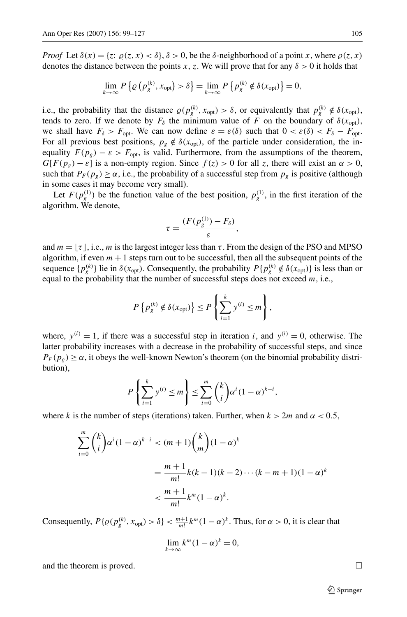*Proof* Let  $\delta(x) = \{z: \rho(z, x) < \delta\}, \delta > 0$ , be the  $\delta$ -neighborhood of a point *x*, where  $\rho(z, x)$ denotes the distance between the points *x*, *z*. We will prove that for any  $\delta > 0$  it holds that

$$
\lim_{k \to \infty} P\left\{ \varrho\left(p_g^{(k)}, x_{\text{opt}}\right) > \delta \right\} = \lim_{k \to \infty} P\left\{ p_g^{(k)} \notin \delta(x_{\text{opt}}) \right\} = 0,
$$

i.e., the probability that the distance  $\rho(p_g^{(k)}, x_{\text{opt}}) > \delta$ , or equivalently that  $p_g^{(k)} \notin \delta(x_{\text{opt}})$ , tends to zero. If we denote by  $F_\delta$  the minimum value of F on the boundary of  $\delta(x_{opt})$ , we shall have  $F_{\delta} > F_{\text{opt}}$ . We can now define  $\varepsilon = \varepsilon(\delta)$  such that  $0 < \varepsilon(\delta) < F_{\delta} - F_{\text{opt}}$ . For all previous best positions,  $p_g \notin \delta(x_{opt})$ , of the particle under consideration, the inequality  $F(p_g) - \varepsilon > F_{\text{opt}}$ , is valid. Furthermore, from the assumptions of the theorem,  $G[F(p_g) - \varepsilon]$  is a non-empty region. Since  $f(z) > 0$  for all *z*, there will exist an  $\alpha > 0$ , such that  $P_F(p_g) \ge \alpha$ , i.e., the probability of a successful step from  $p_g$  is positive (although in some cases it may become very small).

Let  $F(p_g^{(1)})$  be the function value of the best position,  $p_g^{(1)}$ , in the first iteration of the algorithm. We denote,

$$
\tau = \frac{(F(p_g^{(1)}) - F_\delta)}{\varepsilon},
$$

and  $m = |\tau|$ , i.e., *m* is the largest integer less than  $\tau$ . From the design of the PSO and MPSO algorithm, if even  $m + 1$  steps turn out to be successful, then all the subsequent points of the sequence  $\{p_g^{(k)}\}$  lie in  $\delta(x_{opt})$ . Consequently, the probability  $P\{p_g^{(k)} \notin \delta(x_{opt})\}$  is less than or equal to the probability that the number of successful steps does not exceed *m*, i.e.,

$$
P\left\{p_g^{(k)}\notin\delta(x_{\text{opt}})\right\}\leq P\left\{\sum_{i=1}^k y^{(i)}\leq m\right\},\
$$

where,  $y^{(i)} = 1$ , if there was a successful step in iteration *i*, and  $y^{(i)} = 0$ , otherwise. The latter probability increases with a decrease in the probability of successful steps, and since  $P_F(p_g) \ge \alpha$ , it obeys the well-known Newton's theorem (on the binomial probability distribution),

$$
P\left\{\sum_{i=1}^k y^{(i)} \leq m\right\} \leq \sum_{i=0}^m {k \choose i} \alpha^i (1-\alpha)^{k-i},
$$

where *k* is the number of steps (iterations) taken. Further, when  $k > 2m$  and  $\alpha < 0.5$ ,

$$
\sum_{i=0}^{m} {k \choose i} \alpha^{i} (1 - \alpha)^{k-i} < (m+1) {k \choose m} (1 - \alpha)^{k}
$$
\n
$$
= \frac{m+1}{m!} k(k-1)(k-2) \cdots (k-m+1)(1 - \alpha)^{k}
$$
\n
$$
< \frac{m+1}{m!} k^{m} (1 - \alpha)^{k}.
$$

Consequently,  $P\{\varrho(p_g^{(k)}, x_{\text{opt}}) > \delta\} < \frac{m+1}{m!}k^m(1-\alpha)^k$ . Thus, for  $\alpha > 0$ , it is clear that

$$
\lim_{k \to \infty} k^m (1 - \alpha)^k = 0,
$$

and the theorem is proved.

$$
\Box
$$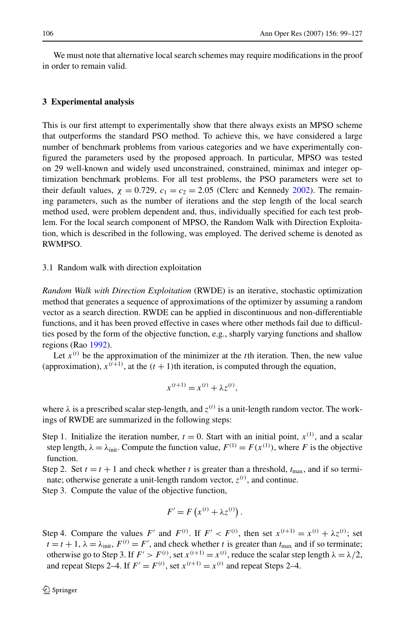<span id="page-7-0"></span>We must note that alternative local search schemes may require modifications in the proof in order to remain valid.

## **3 Experimental analysis**

This is our first attempt to experimentally show that there always exists an MPSO scheme that outperforms the standard PSO method. To achieve this, we have considered a large number of benchmark problems from various categories and we have experimentally configured the parameters used by the proposed approach. In particular, MPSO was tested on 29 well-known and widely used unconstrained, constrained, minimax and integer optimization benchmark problems. For all test problems, the PSO parameters were set to their default values,  $\chi = 0.729$ ,  $c_1 = c_2 = 2.05$  (Clerc and Kennedy [2002\)](#page-26-0). The remaining parameters, such as the number of iterations and the step length of the local search method used, were problem dependent and, thus, individually specified for each test problem. For the local search component of MPSO, the Random Walk with Direction Exploitation, which is described in the following, was employed. The derived scheme is denoted as RWMPSO.

3.1 Random walk with direction exploitation

*Random Walk with Direction Exploitation* (RWDE) is an iterative, stochastic optimization method that generates a sequence of approximations of the optimizer by assuming a random vector as a search direction. RWDE can be applied in discontinuous and non-differentiable functions, and it has been proved effective in cases where other methods fail due to difficulties posed by the form of the objective function, e.g., sharply varying functions and shallow regions (Rao [1992\)](#page-28-0).

Let  $x^{(t)}$  be the approximation of the minimizer at the *t*th iteration. Then, the new value (approximation),  $x^{(t+1)}$ , at the  $(t+1)$ <sup>th</sup> iteration, is computed through the equation,

$$
x^{(t+1)} = x^{(t)} + \lambda z^{(t)},
$$

where  $\lambda$  is a prescribed scalar step-length, and  $z^{(t)}$  is a unit-length random vector. The workings of RWDE are summarized in the following steps:

Step 1. Initialize the iteration number,  $t = 0$ . Start with an initial point,  $x^{(1)}$ , and a scalar step length,  $\lambda = \lambda_{\text{init}}$ . Compute the function value,  $F^{(1)} = F(x^{(1)})$ , where *F* is the objective function.

Step 2. Set  $t = t + 1$  and check whether t is greater than a threshold,  $t_{\text{max}}$ , and if so terminate; otherwise generate a unit-length random vector,  $z^{(t)}$ , and continue.

Step 3. Compute the value of the objective function,

$$
F'=F\left(x^{(t)}+\lambda z^{(t)}\right).
$$

Step 4. Compare the values *F'* and  $F^{(t)}$ . If  $F' < F^{(t)}$ , then set  $x^{(t+1)} = x^{(t)} + \lambda z^{(t)}$ ; set  $t = t + 1$ ,  $\lambda = \lambda_{init}$ ,  $F^{(t)} = F'$ , and check whether *t* is greater than  $t_{max}$  and if so terminate; otherwise go to Step 3. If  $F' > F^{(t)}$ , set  $x^{(t+1)} = x^{(t)}$ , reduce the scalar step length  $\lambda = \lambda/2$ , and repeat Steps 2–4. If  $F' = F^{(t)}$ , set  $x^{(t+1)} = x^{(t)}$  and repeat Steps 2–4.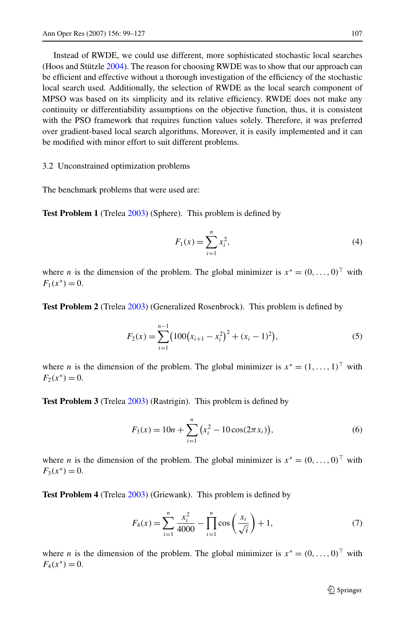<span id="page-8-0"></span>Instead of RWDE, we could use different, more sophisticated stochastic local searches (Hoos and Stützle [2004\)](#page-27-0). The reason for choosing RWDE was to show that our approach can be efficient and effective without a thorough investigation of the efficiency of the stochastic local search used. Additionally, the selection of RWDE as the local search component of MPSO was based on its simplicity and its relative efficiency. RWDE does not make any continuity or differentiability assumptions on the objective function, thus, it is consistent with the PSO framework that requires function values solely. Therefore, it was preferred over gradient-based local search algorithms. Moreover, it is easily implemented and it can be modified with minor effort to suit different problems.

3.2 Unconstrained optimization problems

The benchmark problems that were used are:

**Test Problem 1** (Trelea [2003\)](#page-28-0) (Sphere). This problem is defined by

$$
F_1(x) = \sum_{i=1}^{n} x_i^2,
$$
\n(4)

where *n* is the dimension of the problem. The global minimizer is  $x^* = (0, \ldots, 0)^\top$  with  $F_1(x^*) = 0.$ 

**Test Problem 2** (Trelea [2003\)](#page-28-0) (Generalized Rosenbrock). This problem is defined by

$$
F_2(x) = \sum_{i=1}^{n-1} \left( 100\left(x_{i+1} - x_i^2\right)^2 + (x_i - 1)^2 \right),\tag{5}
$$

where *n* is the dimension of the problem. The global minimizer is  $x^* = (1, \ldots, 1)^\top$  with  $F_2(x^*) = 0.$ 

**Test Problem 3** (Trelea [2003\)](#page-28-0) (Rastrigin). This problem is defined by

$$
F_3(x) = 10n + \sum_{i=1}^{n} (x_i^2 - 10\cos(2\pi x_i)),
$$
 (6)

where *n* is the dimension of the problem. The global minimizer is  $x^* = (0, \ldots, 0)^\top$  with  $F_3(x^*) = 0.$ 

**Test Problem 4** (Trelea [2003\)](#page-28-0) (Griewank). This problem is defined by

$$
F_4(x) = \sum_{i=1}^{n} \frac{x_i^2}{4000} - \prod_{i=1}^{n} \cos\left(\frac{x_i}{\sqrt{i}}\right) + 1,\tag{7}
$$

where *n* is the dimension of the problem. The global minimizer is  $x^* = (0, \ldots, 0)^\top$  with  $F_4(x^*) = 0.$ 

 $\mathcal{D}$  Springer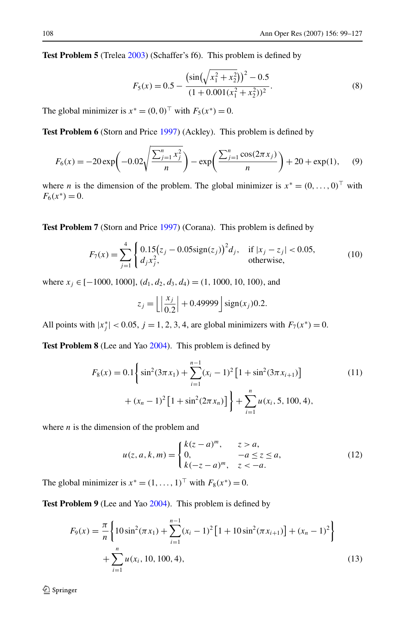<span id="page-9-0"></span>**Test Problem 5** (Trelea [2003\)](#page-28-0) (Schaffer's f6). This problem is defined by

$$
F_5(x) = 0.5 - \frac{\left(\sin(\sqrt{x_1^2 + x_2^2})\right)^2 - 0.5}{(1 + 0.001(x_1^2 + x_2^2))^2}.
$$
 (8)

The global minimizer is  $x^* = (0, 0)^\top$  with  $F_5(x^*) = 0$ .

Test Problem 6 (Storn and Price [1997](#page-28-0)) (Ackley). This problem is defined by

$$
F_6(x) = -20 \exp\left(-0.02\sqrt{\frac{\sum_{j=1}^n x_j^2}{n}}\right) - \exp\left(\frac{\sum_{j=1}^n \cos(2\pi x_j)}{n}\right) + 20 + \exp(1),\tag{9}
$$

where *n* is the dimension of the problem. The global minimizer is  $x^* = (0, \ldots, 0)^\top$  with  $F_6(x^*) = 0.$ 

**Test Problem 7** (Storn and Price [1997](#page-28-0)) (Corana). This problem is defined by

$$
F_7(x) = \sum_{j=1}^4 \begin{cases} 0.15(z_j - 0.05\text{sign}(z_j))^2 d_j, & \text{if } |x_j - z_j| < 0.05, \\ d_j x_j^2, & \text{otherwise,} \end{cases}
$$
(10)

where  $x_j$  ∈ [−1000, 1000],  $(d_1, d_2, d_3, d_4)$  = (1, 1000, 10, 100), and

$$
z_j = \left\lfloor \left| \frac{x_j}{0.2} \right| + 0.49999 \right\rfloor \text{sign}(x_j) 0.2.
$$

All points with  $|x_j^*| < 0.05$ ,  $j = 1, 2, 3, 4$ , are global minimizers with  $F_7(x^*) = 0$ .

**Test Problem 8** (Lee and Yao [2004\)](#page-27-0). This problem is defined by

$$
F_8(x) = 0.1 \left\{ \sin^2(3\pi x_1) + \sum_{i=1}^{n-1} (x_i - 1)^2 \left[ 1 + \sin^2(3\pi x_{i+1}) \right] + (x_n - 1)^2 \left[ 1 + \sin^2(2\pi x_n) \right] \right\} + \sum_{i=1}^n u(x_i, 5, 100, 4),
$$
\n(11)

where *n* is the dimension of the problem and

$$
u(z, a, k, m) = \begin{cases} k(z - a)^m, & z > a, \\ 0, & -a \le z \le a, \\ k(-z - a)^m, & z < -a. \end{cases}
$$
 (12)

The global minimizer is  $x^* = (1, \ldots, 1)^\top$  with  $F_8(x^*) = 0$ .

**Test Problem 9** (Lee and Yao [2004\)](#page-27-0). This problem is defined by

$$
F_9(x) = \frac{\pi}{n} \left\{ 10 \sin^2(\pi x_1) + \sum_{i=1}^{n-1} (x_i - 1)^2 \left[ 1 + 10 \sin^2(\pi x_{i+1}) \right] + (x_n - 1)^2 \right\} + \sum_{i=1}^n u(x_i, 10, 100, 4),
$$
\n(13)

 $\mathcal{D}$  Springer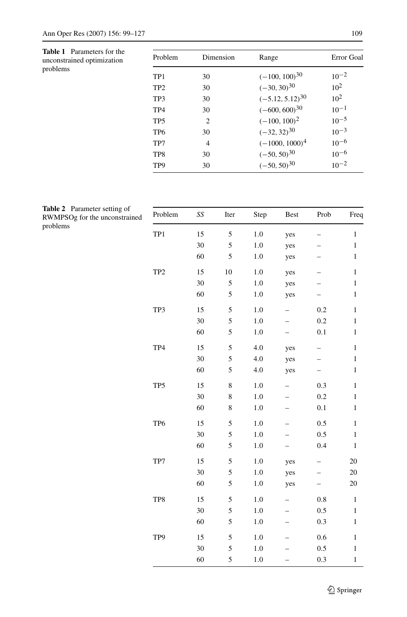<span id="page-10-0"></span>**Table 1** Parameters for the unconstrained optimization problems

| Problem         | Dimension                   | Range                | Error Goal      |
|-----------------|-----------------------------|----------------------|-----------------|
| TP <sub>1</sub> | 30                          | $(-100, 100)^{30}$   | $10^{-2}$       |
| TP <sub>2</sub> | 30                          | $(-30, 30)^{30}$     | $10^{2}$        |
| TP <sub>3</sub> | 30                          | $(-5.12, 5.12)^{30}$ | 10 <sup>2</sup> |
| TP4             | 30                          | $(-600, 600)^{30}$   | $10^{-1}$       |
| TP <sub>5</sub> | $\mathcal{D}_{\mathcal{L}}$ | $(-100, 100)^2$      | $10^{-5}$       |
| TP <sub>6</sub> | 30                          | $(-32, 32)^{30}$     | $10^{-3}$       |
| TP7             | 4                           | $(-1000, 1000)^4$    | $10^{-6}$       |
| TP <sub>8</sub> | 30                          | $(-50, 50)^{30}$     | $10^{-6}$       |
| TP <sub>9</sub> | 30                          | $(-50, 50)^{30}$     | $10^{-2}$       |
|                 |                             |                      |                 |

|          | <b>Table 2</b> Parameter setting of |
|----------|-------------------------------------|
|          | RWMPSOg for the unconstrained       |
| problems |                                     |

| Problem         | SS | Iter | Step    | <b>Best</b>              | Prob                     | Freq         |
|-----------------|----|------|---------|--------------------------|--------------------------|--------------|
| TP1             | 15 | 5    | $1.0\,$ | yes                      |                          | $\mathbf{1}$ |
|                 | 30 | 5    | 1.0     | yes                      |                          | $\mathbf{1}$ |
|                 | 60 | 5    | $1.0\,$ | yes                      |                          | $\,1$        |
| TP <sub>2</sub> | 15 | 10   | $1.0\,$ | yes                      |                          | $\,1\,$      |
|                 | 30 | 5    | 1.0     | yes                      |                          | $\mathbf{1}$ |
|                 | 60 | 5    | $1.0\,$ | yes                      | $\overline{\phantom{0}}$ | $\mathbf{1}$ |
| TP3             | 15 | 5    | $1.0\,$ | $\overline{\phantom{0}}$ | 0.2                      | $\,1$        |
|                 | 30 | 5    | 1.0     |                          | 0.2                      | $\mathbf{1}$ |
|                 | 60 | 5    | 1.0     | -                        | $0.1\,$                  | $\mathbf{1}$ |
| TP4             | 15 | 5    | 4.0     | yes                      | $\overline{\phantom{0}}$ | $\mathbf{1}$ |
|                 | 30 | 5    | 4.0     | yes                      | $\overline{\phantom{0}}$ | $\mathbf{1}$ |
|                 | 60 | 5    | 4.0     | yes                      |                          | $\mathbf{1}$ |
| TP5             | 15 | 8    | 1.0     | -                        | 0.3                      | $\mathbf{1}$ |
|                 | 30 | 8    | $1.0\,$ | $\overline{\phantom{0}}$ | 0.2                      | $\mathbf{1}$ |
|                 | 60 | 8    | 1.0     | -                        | $0.1\,$                  | $\mathbf{1}$ |
| TP <sub>6</sub> | 15 | 5    | 1.0     |                          | 0.5                      | $\mathbf{1}$ |
|                 | 30 | 5    | 1.0     | -                        | 0.5                      | $\,1$        |
|                 | 60 | 5    | 1.0     | $\overline{\phantom{0}}$ | 0.4                      | $\mathbf{1}$ |
| TP7             | 15 | 5    | 1.0     | yes                      |                          | 20           |
|                 | 30 | 5    | $1.0\,$ | yes                      |                          | 20           |
|                 | 60 | 5    | $1.0\,$ | yes                      |                          | $20\,$       |
| TP8             | 15 | 5    | $1.0\,$ | -                        | 0.8                      | $\,1$        |
|                 | 30 | 5    | 1.0     |                          | 0.5                      | $\mathbf{1}$ |
|                 | 60 | 5    | $1.0\,$ |                          | 0.3                      | $\mathbf{1}$ |
| TP9             | 15 | 5    | 1.0     |                          | 0.6                      | $\,1$        |
|                 | 30 | 5    | $1.0\,$ |                          | 0.5                      | $\mathbf{1}$ |
|                 | 60 | 5    | $1.0\,$ |                          | 0.3                      | $\mathbf{1}$ |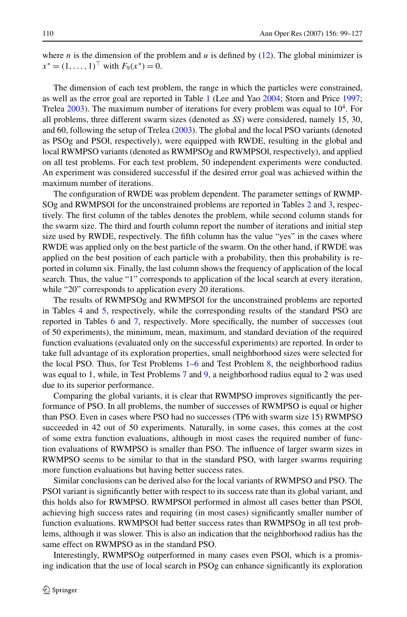where *n* is the dimension of the problem and  $u$  is defined by  $(12)$ . The global minimizer is  $x^* = (1, \ldots, 1)^\top$  with  $F_9(x^*) = 0$ .

The dimension of each test problem, the range in which the particles were constrained, as well as the error goal are reported in Table [1](#page-10-0) (Lee and Yao [2004;](#page-27-0) Storn and Price [1997;](#page-28-0) Trelea  $2003$ ). The maximum number of iterations for every problem was equal to  $10<sup>4</sup>$ . For all problems, three different swarm sizes (denoted as *SS*) were considered, namely 15, 30, and 60, following the setup of Trelea ([2003\)](#page-28-0). The global and the local PSO variants (denoted as PSOg and PSOl, respectively), were equipped with RWDE, resulting in the global and local RWMPSO variants (denoted as RWMPSOg and RWMPSOl, respectively), and applied on all test problems. For each test problem, 50 independent experiments were conducted. An experiment was considered successful if the desired error goal was achieved within the maximum number of iterations.

The configuration of RWDE was problem dependent. The parameter settings of RWMP-SOg and RWMPSOl for the unconstrained problems are reported in Tables [2](#page-10-0) and [3](#page-12-0), respectively. The first column of the tables denotes the problem, while second column stands for the swarm size. The third and fourth column report the number of iterations and initial step size used by RWDE, respectively. The fifth column has the value "yes" in the cases where RWDE was applied only on the best particle of the swarm. On the other hand, if RWDE was applied on the best position of each particle with a probability, then this probability is reported in column six. Finally, the last column shows the frequency of application of the local search. Thus, the value "1" corresponds to application of the local search at every iteration, while "20" corresponds to application every 20 iterations.

The results of RWMPSOg and RWMPSOl for the unconstrained problems are reported in Tables [4](#page-13-0) and [5,](#page-14-0) respectively, while the corresponding results of the standard PSO are reported in Tables [6](#page-15-0) and [7](#page-16-0), respectively. More specifically, the number of successes (out of 50 experiments), the minimum, mean, maximum, and standard deviation of the required function evaluations (evaluated only on the successful experiments) are reported. In order to take full advantage of its exploration properties, small neighborhood sizes were selected for the local PSO. Thus, for Test Problems [1](#page-8-0)–[6](#page-9-0) and Test Problem [8,](#page-9-0) the neighborhood radius was equal to 1, while, in Test Problems [7](#page-9-0) and 9, a neighborhood radius equal to 2 was used due to its superior performance.

Comparing the global variants, it is clear that RWMPSO improves significantly the performance of PSO. In all problems, the number of successes of RWMPSO is equal or higher than PSO. Even in cases where PSO had no successes (TP6 with swarm size 15) RWMPSO succeeded in 42 out of 50 experiments. Naturally, in some cases, this comes at the cost of some extra function evaluations, although in most cases the required number of function evaluations of RWMPSO is smaller than PSO. The influence of larger swarm sizes in RWMPSO seems to be similar to that in the standard PSO, with larger swarms requiring more function evaluations but having better success rates.

Similar conclusions can be derived also for the local variants of RWMPSO and PSO. The PSOl variant is significantly better with respect to its success rate than its global variant, and this holds also for RWMPSO. RWMPSOl performed in almost all cases better than PSOl, achieving high success rates and requiring (in most cases) significantly smaller number of function evaluations. RWMPSOl had better success rates than RWMPSOg in all test problems, although it was slower. This is also an indication that the neighborhood radius has the same effect on RWMPSO as in the standard PSO.

Interestingly, RWMPSOg outperformed in many cases even PSOl, which is a promising indication that the use of local search in PSOg can enhance significantly its exploration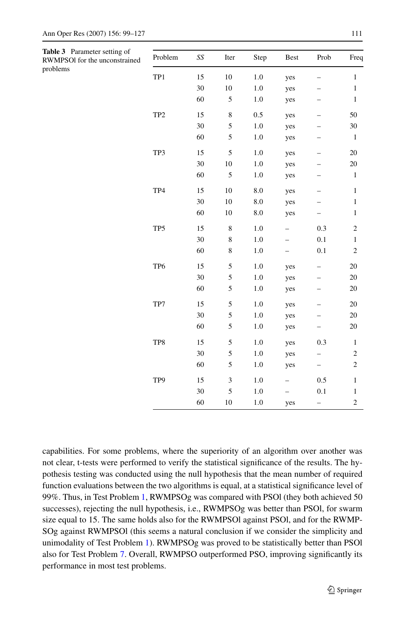<span id="page-12-0"></span>**Table 3** 

| Table 3 Parameter setting of<br>RWMPSOl for the unconstrained | Problem         | $\mathit{SS}$ | Iter          | Step    | <b>Best</b>              | Prob                     | Freq           |
|---------------------------------------------------------------|-----------------|---------------|---------------|---------|--------------------------|--------------------------|----------------|
| problems                                                      | TP1             | 15            | $10\,$        | 1.0     | yes                      | -                        | $\mathbf{1}$   |
|                                                               |                 | 30            | $10\,$        | $1.0\,$ | yes                      | $\qquad \qquad -$        | $\mathbf{1}$   |
|                                                               |                 | 60            | 5             | $1.0\,$ | yes                      | -                        | $\mathbf{1}$   |
|                                                               | TP <sub>2</sub> | 15            | $\,$ 8 $\,$   | 0.5     | yes                      | $\overline{\phantom{0}}$ | 50             |
|                                                               |                 | 30            | 5             | 1.0     | yes                      | -                        | $30\,$         |
|                                                               |                 | 60            | 5             | 1.0     | yes                      | -                        | $\mathbf{1}$   |
|                                                               | TP3             | 15            | 5             | $1.0\,$ | yes                      | -                        | $20\,$         |
|                                                               |                 | 30            | 10            | 1.0     | yes                      | -                        | $20\,$         |
|                                                               |                 | 60            | 5             | $1.0\,$ | yes                      | -                        | $\,1\,$        |
|                                                               | TP4             | 15            | 10            | 8.0     | yes                      | $\overline{\phantom{0}}$ | $\mathbf{1}$   |
|                                                               |                 | 30            | 10            | $8.0\,$ | yes                      | -                        | $\,1\,$        |
|                                                               |                 | 60            | 10            | $8.0\,$ | yes                      | -                        | $\,1\,$        |
|                                                               | TP5             | 15            | $\,$ 8 $\,$   | $1.0\,$ | $\qquad \qquad -$        | 0.3                      | $\sqrt{2}$     |
|                                                               |                 | 30            | $\,8\,$       | 1.0     | $\overline{\phantom{0}}$ | 0.1                      | $\mathbf{1}$   |
|                                                               |                 | 60            | 8             | $1.0\,$ | $\overline{\phantom{0}}$ | 0.1                      | $\sqrt{2}$     |
|                                                               | TP <sub>6</sub> | 15            | 5             | 1.0     | yes                      | $\overline{\phantom{0}}$ | $20\,$         |
|                                                               |                 | 30            | 5             | 1.0     | yes                      | -                        | $20\,$         |
|                                                               |                 | 60            | 5             | 1.0     | yes                      | -                        | $20\,$         |
|                                                               | TP7             | 15            | 5             | $1.0\,$ | yes                      | -                        | $20\,$         |
|                                                               |                 | 30            | 5             | $1.0\,$ | yes                      | $\overline{\phantom{0}}$ | $20\,$         |
|                                                               |                 | 60            | 5             | 1.0     | yes                      | $\overline{\phantom{0}}$ | $20\,$         |
|                                                               | TP8             | 15            | 5             | 1.0     | yes                      | 0.3                      | $\,1\,$        |
|                                                               |                 | 30            | 5             | 1.0     | yes                      | -                        | $\overline{c}$ |
|                                                               |                 | 60            | 5             | 1.0     | yes                      | $\overline{\phantom{0}}$ | $\sqrt{2}$     |
|                                                               | TP <sub>9</sub> | 15            | $\mathfrak z$ | 1.0     | -                        | 0.5                      | $\,1\,$        |
|                                                               |                 | 30            | 5             | 1.0     | $\overline{\phantom{0}}$ | $0.1\,$                  | $\,1\,$        |
|                                                               |                 | 60            | $10\,$        | 1.0     | yes                      | $\overline{\phantom{0}}$ | $\sqrt{2}$     |

capabilities. For some problems, where the superiority of an algorithm over another was not clear, t-tests were performed to verify the statistical significance of the results. The hypothesis testing was conducted using the null hypothesis that the mean number of required function evaluations between the two algorithms is equal, at a statistical significance level of 99%. Thus, in Test Problem [1](#page-8-0), RWMPSOg was compared with PSOl (they both achieved 50 successes), rejecting the null hypothesis, i.e., RWMPSOg was better than PSOl, for swarm size equal to 15. The same holds also for the RWMPSOl against PSOl, and for the RWMP-SOg against RWMPSOl (this seems a natural conclusion if we consider the simplicity and unimodality of Test Problem [1](#page-8-0)). RWMPSOg was proved to be statistically better than PSOl also for Test Problem [7](#page-9-0). Overall, RWMPSO outperformed PSO, improving significantly its performance in most test problems.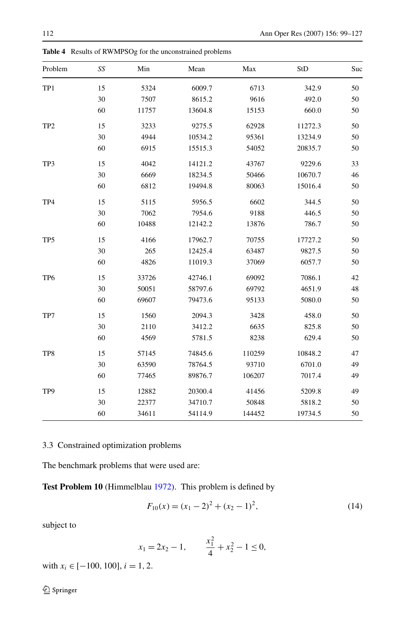| Problem         | SS | Min   | Mean    | Max    | StD     | Suc |
|-----------------|----|-------|---------|--------|---------|-----|
| TP1             | 15 | 5324  | 6009.7  | 6713   | 342.9   | 50  |
|                 | 30 | 7507  | 8615.2  | 9616   | 492.0   | 50  |
|                 | 60 | 11757 | 13604.8 | 15153  | 660.0   | 50  |
| TP <sub>2</sub> | 15 | 3233  | 9275.5  | 62928  | 11272.3 | 50  |
|                 | 30 | 4944  | 10534.2 | 95361  | 13234.9 | 50  |
|                 | 60 | 6915  | 15515.3 | 54052  | 20835.7 | 50  |
| TP3             | 15 | 4042  | 14121.2 | 43767  | 9229.6  | 33  |
|                 | 30 | 6669  | 18234.5 | 50466  | 10670.7 | 46  |
|                 | 60 | 6812  | 19494.8 | 80063  | 15016.4 | 50  |
| TP4             | 15 | 5115  | 5956.5  | 6602   | 344.5   | 50  |
|                 | 30 | 7062  | 7954.6  | 9188   | 446.5   | 50  |
|                 | 60 | 10488 | 12142.2 | 13876  | 786.7   | 50  |
| TP <sub>5</sub> | 15 | 4166  | 17962.7 | 70755  | 17727.2 | 50  |
|                 | 30 | 265   | 12425.4 | 63487  | 9827.5  | 50  |
|                 | 60 | 4826  | 11019.3 | 37069  | 6057.7  | 50  |
| TP <sub>6</sub> | 15 | 33726 | 42746.1 | 69092  | 7086.1  | 42  |
|                 | 30 | 50051 | 58797.6 | 69792  | 4651.9  | 48  |
|                 | 60 | 69607 | 79473.6 | 95133  | 5080.0  | 50  |
| TP7             | 15 | 1560  | 2094.3  | 3428   | 458.0   | 50  |
|                 | 30 | 2110  | 3412.2  | 6635   | 825.8   | 50  |
|                 | 60 | 4569  | 5781.5  | 8238   | 629.4   | 50  |
| TP8             | 15 | 57145 | 74845.6 | 110259 | 10848.2 | 47  |
|                 | 30 | 63590 | 78764.5 | 93710  | 6701.0  | 49  |
|                 | 60 | 77465 | 89876.7 | 106207 | 7017.4  | 49  |
| TP <sub>9</sub> | 15 | 12882 | 20300.4 | 41456  | 5209.8  | 49  |
|                 | 30 | 22377 | 34710.7 | 50848  | 5818.2  | 50  |
|                 | 60 | 34611 | 54114.9 | 144452 | 19734.5 | 50  |

<span id="page-13-0"></span>**Table 4** Results of RWMPSOg for the unconstrained problems

# 3.3 Constrained optimization problems

The benchmark problems that were used are:

**Test Problem 10** (Himmelblau [1972](#page-27-0)). This problem is defined by

$$
F_{10}(x) = (x_1 - 2)^2 + (x_2 - 1)^2,
$$
\n(14)

subject to

$$
x_1 = 2x_2 - 1,
$$
  $\frac{x_1^2}{4} + x_2^2 - 1 \le 0,$ 

with  $x_i$  ∈ [-100, 100],  $i = 1, 2$ .

 **2** Springer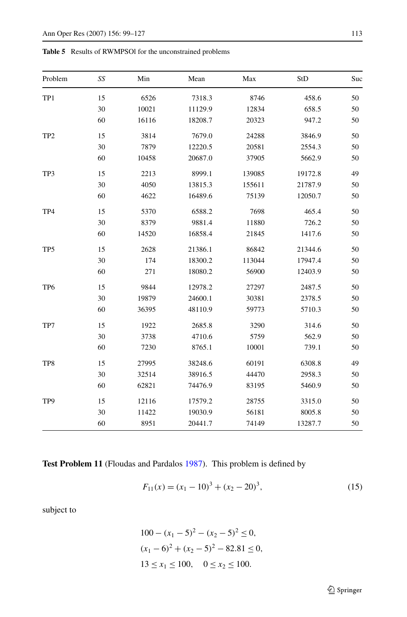<span id="page-14-0"></span>**Table 5** Results of RWMPSOl for the unconstrained problems

| Problem         | SS | Min   | Mean    | Max    | StD     | Suc |
|-----------------|----|-------|---------|--------|---------|-----|
| TP1             | 15 | 6526  | 7318.3  | 8746   | 458.6   | 50  |
|                 | 30 | 10021 | 11129.9 | 12834  | 658.5   | 50  |
|                 | 60 | 16116 | 18208.7 | 20323  | 947.2   | 50  |
| TP <sub>2</sub> | 15 | 3814  | 7679.0  | 24288  | 3846.9  | 50  |
|                 | 30 | 7879  | 12220.5 | 20581  | 2554.3  | 50  |
|                 | 60 | 10458 | 20687.0 | 37905  | 5662.9  | 50  |
| TP3             | 15 | 2213  | 8999.1  | 139085 | 19172.8 | 49  |
|                 | 30 | 4050  | 13815.3 | 155611 | 21787.9 | 50  |
|                 | 60 | 4622  | 16489.6 | 75139  | 12050.7 | 50  |
| TP4             | 15 | 5370  | 6588.2  | 7698   | 465.4   | 50  |
|                 | 30 | 8379  | 9881.4  | 11880  | 726.2   | 50  |
|                 | 60 | 14520 | 16858.4 | 21845  | 1417.6  | 50  |
| TP <sub>5</sub> | 15 | 2628  | 21386.1 | 86842  | 21344.6 | 50  |
|                 | 30 | 174   | 18300.2 | 113044 | 17947.4 | 50  |
|                 | 60 | 271   | 18080.2 | 56900  | 12403.9 | 50  |
| TP <sub>6</sub> | 15 | 9844  | 12978.2 | 27297  | 2487.5  | 50  |
|                 | 30 | 19879 | 24600.1 | 30381  | 2378.5  | 50  |
|                 | 60 | 36395 | 48110.9 | 59773  | 5710.3  | 50  |
| TP7             | 15 | 1922  | 2685.8  | 3290   | 314.6   | 50  |
|                 | 30 | 3738  | 4710.6  | 5759   | 562.9   | 50  |
|                 | 60 | 7230  | 8765.1  | 10001  | 739.1   | 50  |
| TP8             | 15 | 27995 | 38248.6 | 60191  | 6308.8  | 49  |
|                 | 30 | 32514 | 38916.5 | 44470  | 2958.3  | 50  |
|                 | 60 | 62821 | 74476.9 | 83195  | 5460.9  | 50  |
| TP9             | 15 | 12116 | 17579.2 | 28755  | 3315.0  | 50  |
|                 | 30 | 11422 | 19030.9 | 56181  | 8005.8  | 50  |
|                 | 60 | 8951  | 20441.7 | 74149  | 13287.7 | 50  |

Test Problem 11 (Floudas and Pardalos [1987\)](#page-26-0). This problem is defined by

$$
F_{11}(x) = (x_1 - 10)^3 + (x_2 - 20)^3,
$$
\n(15)

subject to

$$
100 - (x_1 - 5)^2 - (x_2 - 5)^2 \le 0,
$$
  
\n
$$
(x_1 - 6)^2 + (x_2 - 5)^2 - 82.81 \le 0,
$$
  
\n
$$
13 \le x_1 \le 100, \quad 0 \le x_2 \le 100.
$$

 $\underline{\textcircled{\tiny 2}}$  Springer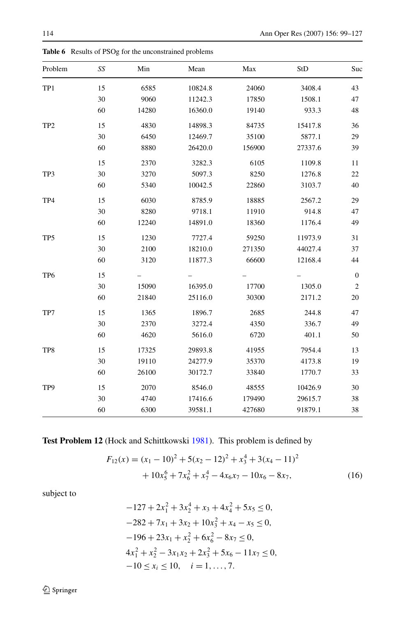| Problem         | SS | Min   | Mean    | Max    | StD     | Suc              |
|-----------------|----|-------|---------|--------|---------|------------------|
| TP1             | 15 | 6585  | 10824.8 | 24060  | 3408.4  | 43               |
|                 | 30 | 9060  | 11242.3 | 17850  | 1508.1  | 47               |
|                 | 60 | 14280 | 16360.0 | 19140  | 933.3   | 48               |
| TP <sub>2</sub> | 15 | 4830  | 14898.3 | 84735  | 15417.8 | 36               |
|                 | 30 | 6450  | 12469.7 | 35100  | 5877.1  | 29               |
|                 | 60 | 8880  | 26420.0 | 156900 | 27337.6 | 39               |
|                 | 15 | 2370  | 3282.3  | 6105   | 1109.8  | 11               |
| TP3             | 30 | 3270  | 5097.3  | 8250   | 1276.8  | 22               |
|                 | 60 | 5340  | 10042.5 | 22860  | 3103.7  | 40               |
| TP4             | 15 | 6030  | 8785.9  | 18885  | 2567.2  | 29               |
|                 | 30 | 8280  | 9718.1  | 11910  | 914.8   | 47               |
|                 | 60 | 12240 | 14891.0 | 18360  | 1176.4  | 49               |
| TP <sub>5</sub> | 15 | 1230  | 7727.4  | 59250  | 11973.9 | 31               |
|                 | 30 | 2100  | 18210.0 | 271350 | 44027.4 | 37               |
|                 | 60 | 3120  | 11877.3 | 66600  | 12168.4 | 44               |
| TP <sub>6</sub> | 15 |       |         |        |         | $\boldsymbol{0}$ |
|                 | 30 | 15090 | 16395.0 | 17700  | 1305.0  | $\sqrt{2}$       |
|                 | 60 | 21840 | 25116.0 | 30300  | 2171.2  | 20               |
| TP7             | 15 | 1365  | 1896.7  | 2685   | 244.8   | 47               |
|                 | 30 | 2370  | 3272.4  | 4350   | 336.7   | 49               |
|                 | 60 | 4620  | 5616.0  | 6720   | 401.1   | 50               |
| TP8             | 15 | 17325 | 29893.8 | 41955  | 7954.4  | 13               |
|                 | 30 | 19110 | 24277.9 | 35370  | 4173.8  | 19               |
|                 | 60 | 26100 | 30172.7 | 33840  | 1770.7  | 33               |
| TP <sub>9</sub> | 15 | 2070  | 8546.0  | 48555  | 10426.9 | 30               |
|                 | 30 | 4740  | 17416.6 | 179490 | 29615.7 | 38               |
|                 | 60 | 6300  | 39581.1 | 427680 | 91879.1 | 38               |

<span id="page-15-0"></span>**Table 6** Results of PSOg for the unconstrained problems

Test Problem 12 (Hock and Schittkowski [1981\)](#page-27-0). This problem is defined by

$$
F_{12}(x) = (x_1 - 10)^2 + 5(x_2 - 12)^2 + x_3^4 + 3(x_4 - 11)^2
$$
  
+ 10x\_5^6 + 7x\_6^2 + x\_7^4 - 4x\_6x\_7 - 10x\_6 - 8x\_7, (16)

subject to

$$
-127 + 2x_1^2 + 3x_2^4 + x_3 + 4x_4^2 + 5x_5 \le 0,
$$
  
\n
$$
-282 + 7x_1 + 3x_2 + 10x_3^2 + x_4 - x_5 \le 0,
$$
  
\n
$$
-196 + 23x_1 + x_2^2 + 6x_6^2 - 8x_7 \le 0,
$$
  
\n
$$
4x_1^2 + x_2^2 - 3x_1x_2 + 2x_3^2 + 5x_6 - 11x_7 \le 0,
$$
  
\n
$$
-10 \le x_i \le 10, \quad i = 1, ..., 7.
$$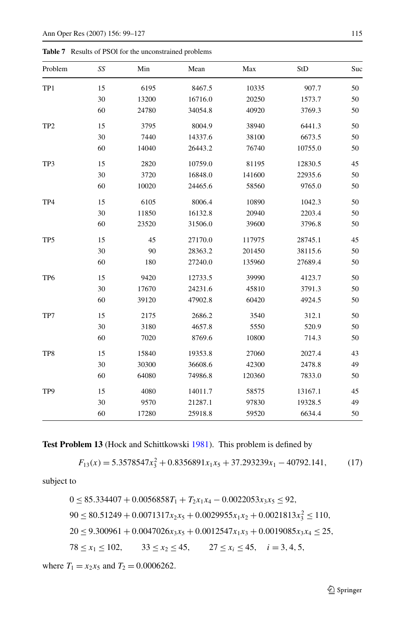<span id="page-16-0"></span>**Table 7** Results of PSOl for the unconstrained problems

| Problem         | SS | Min   | Mean    | Max    | StD     | Suc |
|-----------------|----|-------|---------|--------|---------|-----|
| TP1             | 15 | 6195  | 8467.5  | 10335  | 907.7   | 50  |
|                 | 30 | 13200 | 16716.0 | 20250  | 1573.7  | 50  |
|                 | 60 | 24780 | 34054.8 | 40920  | 3769.3  | 50  |
| TP <sub>2</sub> | 15 | 3795  | 8004.9  | 38940  | 6441.3  | 50  |
|                 | 30 | 7440  | 14337.6 | 38100  | 6673.5  | 50  |
|                 | 60 | 14040 | 26443.2 | 76740  | 10755.0 | 50  |
| TP3             | 15 | 2820  | 10759.0 | 81195  | 12830.5 | 45  |
|                 | 30 | 3720  | 16848.0 | 141600 | 22935.6 | 50  |
|                 | 60 | 10020 | 24465.6 | 58560  | 9765.0  | 50  |
| TP4             | 15 | 6105  | 8006.4  | 10890  | 1042.3  | 50  |
|                 | 30 | 11850 | 16132.8 | 20940  | 2203.4  | 50  |
|                 | 60 | 23520 | 31506.0 | 39600  | 3796.8  | 50  |
| TP <sub>5</sub> | 15 | 45    | 27170.0 | 117975 | 28745.1 | 45  |
|                 | 30 | 90    | 28363.2 | 201450 | 38115.6 | 50  |
|                 | 60 | 180   | 27240.0 | 135960 | 27689.4 | 50  |
| TP <sub>6</sub> | 15 | 9420  | 12733.5 | 39990  | 4123.7  | 50  |
|                 | 30 | 17670 | 24231.6 | 45810  | 3791.3  | 50  |
|                 | 60 | 39120 | 47902.8 | 60420  | 4924.5  | 50  |
| TP7             | 15 | 2175  | 2686.2  | 3540   | 312.1   | 50  |
|                 | 30 | 3180  | 4657.8  | 5550   | 520.9   | 50  |
|                 | 60 | 7020  | 8769.6  | 10800  | 714.3   | 50  |
| TP8             | 15 | 15840 | 19353.8 | 27060  | 2027.4  | 43  |
|                 | 30 | 30300 | 36608.6 | 42300  | 2478.8  | 49  |
|                 | 60 | 64080 | 74986.8 | 120360 | 7833.0  | 50  |
| TP <sub>9</sub> | 15 | 4080  | 14011.7 | 58575  | 13167.1 | 45  |
|                 | 30 | 9570  | 21287.1 | 97830  | 19328.5 | 49  |
|                 | 60 | 17280 | 25918.8 | 59520  | 6634.4  | 50  |

Test Problem 13 (Hock and Schittkowski [1981\)](#page-27-0). This problem is defined by

$$
F_{13}(x) = 5.3578547x_3^2 + 0.8356891x_1x_5 + 37.293239x_1 - 40792.141, \tag{17}
$$

subject to

$$
0 \le 85.334407 + 0.0056858T_1 + T_2x_1x_4 - 0.0022053x_3x_5 \le 92,
$$
  
\n
$$
90 \le 80.51249 + 0.0071317x_2x_5 + 0.0029955x_1x_2 + 0.0021813x_3^2 \le 110,
$$
  
\n
$$
20 \le 9.300961 + 0.0047026x_3x_5 + 0.0012547x_1x_3 + 0.0019085x_3x_4 \le 25,
$$
  
\n
$$
78 \le x_1 \le 102, \qquad 33 \le x_2 \le 45, \qquad 27 \le x_i \le 45, \qquad i = 3, 4, 5,
$$

where  $T_1 = x_2x_5$  and  $T_2 = 0.0006262$ .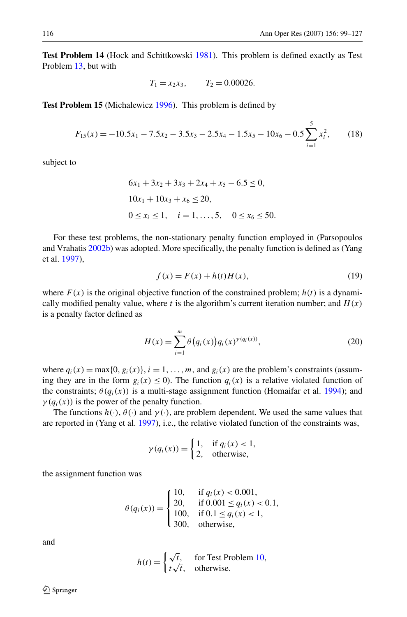**Test Problem 14** (Hock and Schittkowski [1981\)](#page-27-0). This problem is defined exactly as Test Problem [13,](#page-16-0) but with

$$
T_1 = x_2 x_3, \qquad T_2 = 0.00026.
$$

**Test Problem 15** (Michalewicz [1996](#page-27-0)). This problem is defined by

$$
F_{15}(x) = -10.5x_1 - 7.5x_2 - 3.5x_3 - 2.5x_4 - 1.5x_5 - 10x_6 - 0.5\sum_{i=1}^{5} x_i^2,
$$
 (18)

subject to

$$
6x_1 + 3x_2 + 3x_3 + 2x_4 + x_5 - 6.5 \le 0,
$$
  
\n
$$
10x_1 + 10x_3 + x_6 \le 20,
$$
  
\n
$$
0 \le x_i \le 1, \quad i = 1, ..., 5, \quad 0 \le x_6 \le 50.
$$

For these test problems, the non-stationary penalty function employed in (Parsopoulos and Vrahatis [2002b](#page-27-0)) was adopted. More specifically, the penalty function is defined as (Yang et al. [1997\)](#page-28-0),

$$
f(x) = F(x) + h(t)H(x),\tag{19}
$$

where  $F(x)$  is the original objective function of the constrained problem;  $h(t)$  is a dynamically modified penalty value, where  $t$  is the algorithm's current iteration number; and  $H(x)$ is a penalty factor defined as

$$
H(x) = \sum_{i=1}^{m} \theta(q_i(x)) q_i(x)^{\gamma(q_i(x))},
$$
\n(20)

where  $q_i(x) = \max\{0, g_i(x)\}\$ ,  $i = 1, \ldots, m$ , and  $g_i(x)$  are the problem's constraints (assuming they are in the form  $g_i(x) \leq 0$ ). The function  $q_i(x)$  is a relative violated function of the constraints;  $\theta(q_i(x))$  is a multi-stage assignment function (Homaifar et al. [1994\)](#page-27-0); and  $\gamma(q_i(x))$  is the power of the penalty function.

The functions  $h(\cdot)$ ,  $\theta(\cdot)$  and  $\gamma(\cdot)$ , are problem dependent. We used the same values that are reported in (Yang et al. [1997](#page-28-0)), i.e., the relative violated function of the constraints was,

$$
\gamma(q_i(x)) = \begin{cases} 1, & \text{if } q_i(x) < 1, \\ 2, & \text{otherwise,} \end{cases}
$$

the assignment function was

$$
\theta(q_i(x)) = \begin{cases} 10, & \text{if } q_i(x) < 0.001, \\ 20, & \text{if } 0.001 \le q_i(x) < 0.1, \\ 100, & \text{if } 0.1 \le q_i(x) < 1, \\ 300, & \text{otherwise,} \end{cases}
$$

and

$$
h(t) = \begin{cases} \sqrt{t}, & \text{for Test Problem 10,} \\ t\sqrt{t}, & \text{otherwise.} \end{cases}
$$

 $\mathcal{D}$  Springer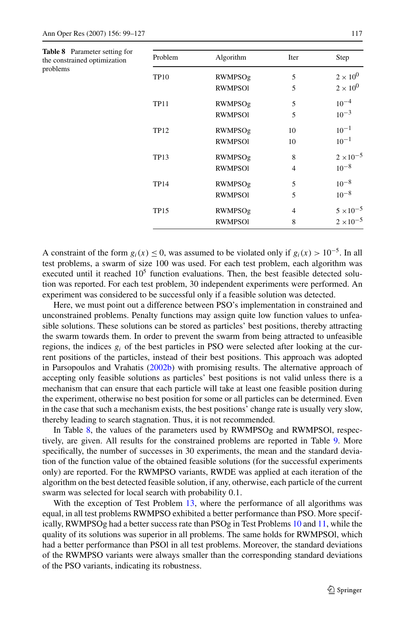| <b>Table 8</b> Parameter setting for<br>the constrained optimization | Problem     | Algorithm      | Iter           | Step               |
|----------------------------------------------------------------------|-------------|----------------|----------------|--------------------|
| problems                                                             | <b>TP10</b> | <b>RWMPSOg</b> | 5              | $2\times10^{0}$    |
|                                                                      |             | <b>RWMPSO1</b> | 5              | $2 \times 10^{0}$  |
|                                                                      | TP11        | RWMPSOg        | 5              | $10^{-4}$          |
|                                                                      |             | <b>RWMPSO1</b> | 5              | $10^{-3}$          |
|                                                                      | <b>TP12</b> | RWMPSOg        | 10             | $10^{-1}$          |
|                                                                      |             | <b>RWMPSO1</b> | 10             | $10^{-1}$          |
|                                                                      | <b>TP13</b> | RWMPSOg        | 8              | $2 \times 10^{-5}$ |
|                                                                      |             | <b>RWMPSO1</b> | $\overline{4}$ | $10^{-8}$          |
|                                                                      | <b>TP14</b> | RWMPSOg        | 5              | $10^{-8}$          |
|                                                                      |             | <b>RWMPSO1</b> | 5              | $10^{-8}$          |
|                                                                      | <b>TP15</b> | RWMPSOg        | $\overline{4}$ | $5 \times 10^{-5}$ |
|                                                                      |             | <b>RWMPSO1</b> | 8              | $2 \times 10^{-5}$ |

A constraint of the form  $g_i(x) \leq 0$ , was assumed to be violated only if  $g_i(x) > 10^{-5}$ . In all test problems, a swarm of size 100 was used. For each test problem, each algorithm was executed until it reached  $10<sup>5</sup>$  function evaluations. Then, the best feasible detected solution was reported. For each test problem, 30 independent experiments were performed. An experiment was considered to be successful only if a feasible solution was detected.

Here, we must point out a difference between PSO's implementation in constrained and unconstrained problems. Penalty functions may assign quite low function values to unfeasible solutions. These solutions can be stored as particles' best positions, thereby attracting the swarm towards them. In order to prevent the swarm from being attracted to unfeasible regions, the indices  $g_i$  of the best particles in PSO were selected after looking at the current positions of the particles, instead of their best positions. This approach was adopted in Parsopoulos and Vrahatis ([2002b](#page-27-0)) with promising results. The alternative approach of accepting only feasible solutions as particles' best positions is not valid unless there is a mechanism that can ensure that each particle will take at least one feasible position during the experiment, otherwise no best position for some or all particles can be determined. Even in the case that such a mechanism exists, the best positions' change rate is usually very slow, thereby leading to search stagnation. Thus, it is not recommended.

In Table 8, the values of the parameters used by RWMPSOg and RWMPSOl, respectively, are given. All results for the constrained problems are reported in Table [9](#page-19-0). More specifically, the number of successes in 30 experiments, the mean and the standard deviation of the function value of the obtained feasible solutions (for the successful experiments only) are reported. For the RWMPSO variants, RWDE was applied at each iteration of the algorithm on the best detected feasible solution, if any, otherwise, each particle of the current swarm was selected for local search with probability 0*.*1.

With the exception of Test Problem [13](#page-16-0), where the performance of all algorithms was equal, in all test problems RWMPSO exhibited a better performance than PSO. More specifically, RWMPSOg had a better success rate than PSOg in Test Problems [10](#page-13-0) and [11,](#page-14-0) while the quality of its solutions was superior in all problems. The same holds for RWMPSOl, which had a better performance than PSOl in all test problems. Moreover, the standard deviations of the RWMPSO variants were always smaller than the corresponding standard deviations of the PSO variants, indicating its robustness.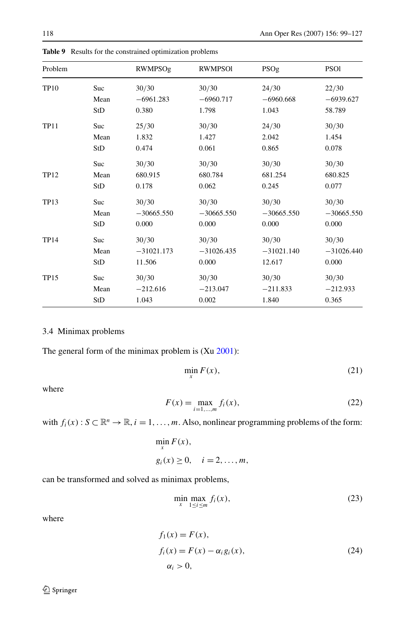| Problem     |      | <b>RWMPSOg</b> | <b>RWMPSOI</b> | PSOg         | <b>PSO1</b>  |
|-------------|------|----------------|----------------|--------------|--------------|
| <b>TP10</b> | Suc  | 30/30          | 30/30          | 24/30        | 22/30        |
|             | Mean | $-6961.283$    | $-6960.717$    | $-6960.668$  | $-6939.627$  |
|             | StD  | 0.380          | 1.798          | 1.043        | 58.789       |
| <b>TP11</b> | Suc  | 25/30          | 30/30          | 24/30        | 30/30        |
|             | Mean | 1.832          | 1.427          | 2.042        | 1.454        |
|             | StD  | 0.474          | 0.061          | 0.865        | 0.078        |
| <b>TP12</b> | Suc  | 30/30          | 30/30          | 30/30        | 30/30        |
|             | Mean | 680.915        | 680.784        | 681.254      | 680.825      |
|             | StD  | 0.178          | 0.062          | 0.245        | 0.077        |
| <b>TP13</b> | Suc  | 30/30          | 30/30          | 30/30        | 30/30        |
|             | Mean | $-30665.550$   | $-30665.550$   | $-30665.550$ | $-30665.550$ |
|             | StD  | 0.000          | 0.000          | 0.000        | 0.000        |
| <b>TP14</b> | Suc  | 30/30          | 30/30          | 30/30        | 30/30        |
|             | Mean | $-31021.173$   | $-31026.435$   | $-31021.140$ | $-31026.440$ |
|             | StD  | 11.506         | 0.000          | 12.617       | 0.000        |
| <b>TP15</b> | Suc  | 30/30          | 30/30          | 30/30        | 30/30        |
|             | Mean | $-212.616$     | $-213.047$     | $-211.833$   | $-212.933$   |
|             | StD  | 1.043          | 0.002          | 1.840        | 0.365        |

<span id="page-19-0"></span>**Table 9** Results for the constrained optimization problems

# 3.4 Minimax problems

The general form of the minimax problem is (Xu [2001\)](#page-28-0):

$$
\min_{x} F(x),\tag{21}
$$

where

$$
F(x) = \max_{i=1,\dots,m} f_i(x),
$$
 (22)

with  $f_i(x)$ :  $S \subset \mathbb{R}^n \to \mathbb{R}$ ,  $i = 1, ..., m$ . Also, nonlinear programming problems of the form:

$$
\min_{x} F(x),
$$
  
 
$$
g_i(x) \ge 0, \quad i = 2, ..., m,
$$

can be transformed and solved as minimax problems,

$$
\min_{x} \max_{1 \le i \le m} f_i(x),\tag{23}
$$

where

$$
f_1(x) = F(x),
$$
  
\n
$$
f_i(x) = F(x) - \alpha_i g_i(x),
$$
  
\n
$$
\alpha_i > 0,
$$
\n(24)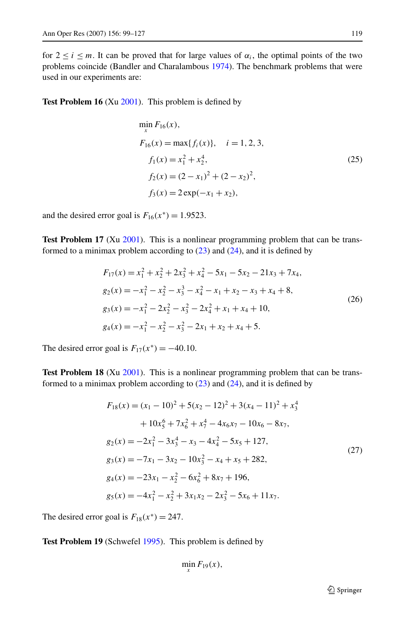for  $2 \le i \le m$ . It can be proved that for large values of  $\alpha_i$ , the optimal points of the two problems coincide (Bandler and Charalambous [1974](#page-26-0)). The benchmark problems that were used in our experiments are:

**Test Problem 16** (Xu [2001](#page-28-0)). This problem is defined by

$$
\min_{x} F_{16}(x),
$$
  
\n
$$
F_{16}(x) = \max\{f_i(x)\}, \quad i = 1, 2, 3,
$$
  
\n
$$
f_1(x) = x_1^2 + x_2^4,
$$
  
\n
$$
f_2(x) = (2 - x_1)^2 + (2 - x_2)^2,
$$
  
\n
$$
f_3(x) = 2 \exp(-x_1 + x_2),
$$
\n(25)

and the desired error goal is  $F_{16}(x^*) = 1.9523$ .

**Test Problem 17** (Xu [2001](#page-28-0)). This is a nonlinear programming problem that can be transformed to a minimax problem according to  $(23)$  and  $(24)$ , and it is defined by

$$
F_{17}(x) = x_1^2 + x_2^2 + 2x_3^2 + x_4^2 - 5x_1 - 5x_2 - 21x_3 + 7x_4,
$$
  
\n
$$
g_2(x) = -x_1^2 - x_2^2 - x_3^3 - x_4^2 - x_1 + x_2 - x_3 + x_4 + 8,
$$
  
\n
$$
g_3(x) = -x_1^2 - 2x_2^2 - x_3^2 - 2x_4^2 + x_1 + x_4 + 10,
$$
  
\n
$$
g_4(x) = -x_1^2 - x_2^2 - x_3^2 - 2x_1 + x_2 + x_4 + 5.
$$
\n(26)

The desired error goal is  $F_{17}(x^*) = -40.10$ .

Test Problem 18 (Xu [2001](#page-28-0)). This is a nonlinear programming problem that can be transformed to a minimax problem according to  $(23)$  and  $(24)$ , and it is defined by

$$
F_{18}(x) = (x_1 - 10)^2 + 5(x_2 - 12)^2 + 3(x_4 - 11)^2 + x_3^4
$$
  
+  $10x_5^6 + 7x_6^2 + x_7^4 - 4x_6x_7 - 10x_6 - 8x_7$ ,  

$$
g_2(x) = -2x_1^2 - 3x_3^4 - x_3 - 4x_4^2 - 5x_5 + 127
$$
,  

$$
g_3(x) = -7x_1 - 3x_2 - 10x_3^2 - x_4 + x_5 + 282
$$
,  

$$
g_4(x) = -23x_1 - x_2^2 - 6x_6^2 + 8x_7 + 196
$$
,  

$$
g_5(x) = -4x_1^2 - x_2^2 + 3x_1x_2 - 2x_3^2 - 5x_6 + 11x_7
$$
.

The desired error goal is  $F_{18}(x^*) = 247$ .

**Test Problem 19** (Schwefel [1995](#page-28-0)). This problem is defined by

$$
\min_{x} F_{19}(x),
$$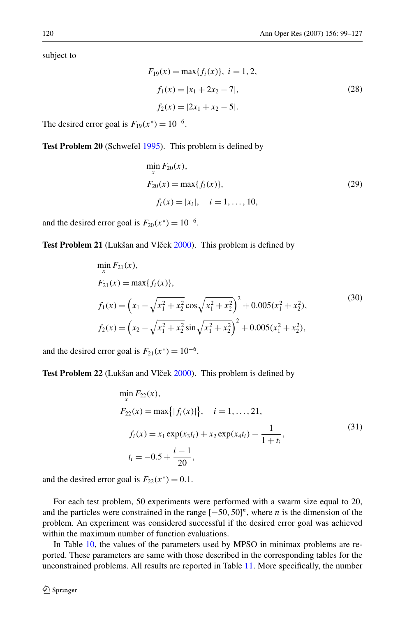<span id="page-21-0"></span>subject to

$$
F_{19}(x) = \max\{f_i(x)\}, \ i = 1, 2,
$$
  
\n
$$
f_1(x) = |x_1 + 2x_2 - 7|,
$$
  
\n
$$
f_2(x) = |2x_1 + x_2 - 5|.
$$
\n(28)

The desired error goal is  $F_{19}(x^*) = 10^{-6}$ .

Test Problem 20 (Schwefel [1995](#page-28-0)). This problem is defined by

$$
\min_{x} F_{20}(x),
$$
  
\n
$$
F_{20}(x) = \max\{f_i(x)\},
$$
  
\n
$$
f_i(x) = |x_i|, \quad i = 1, ..., 10,
$$
\n(29)

and the desired error goal is  $F_{20}(x^*) = 10^{-6}$ .

**Test Problem 21** (Lukšan and Vlček [2000\)](#page-27-0). This problem is defined by

$$
\min_{x} F_{21}(x),
$$
\n
$$
F_{21}(x) = \max\{f_i(x)\},
$$
\n
$$
f_1(x) = \left(x_1 - \sqrt{x_1^2 + x_2^2} \cos \sqrt{x_1^2 + x_2^2}\right)^2 + 0.005(x_1^2 + x_2^2),
$$
\n
$$
f_2(x) = \left(x_2 - \sqrt{x_1^2 + x_2^2} \sin \sqrt{x_1^2 + x_2^2}\right)^2 + 0.005(x_1^2 + x_2^2),
$$
\n(30)

and the desired error goal is  $F_{21}(x^*) = 10^{-6}$ .

**Test Problem 22** (Lukšan and Vlček [2000\)](#page-27-0). This problem is defined by

$$
\min_{x} F_{22}(x),
$$
\n
$$
F_{22}(x) = \max\{|f_i(x)|\}, \quad i = 1, ..., 21,
$$
\n
$$
f_i(x) = x_1 \exp(x_3 t_i) + x_2 \exp(x_4 t_i) - \frac{1}{1 + t_i},
$$
\n
$$
t_i = -0.5 + \frac{i - 1}{20},
$$
\n(31)

and the desired error goal is  $F_{22}(x^*) = 0.1$ .

For each test problem, 50 experiments were performed with a swarm size equal to 20, and the particles were constrained in the range [−50*,* 50] *<sup>n</sup>*, where *n* is the dimension of the problem. An experiment was considered successful if the desired error goal was achieved within the maximum number of function evaluations.

In Table [10](#page-22-0), the values of the parameters used by MPSO in minimax problems are reported. These parameters are same with those described in the corresponding tables for the unconstrained problems. All results are reported in Table [11.](#page-23-0) More specifically, the number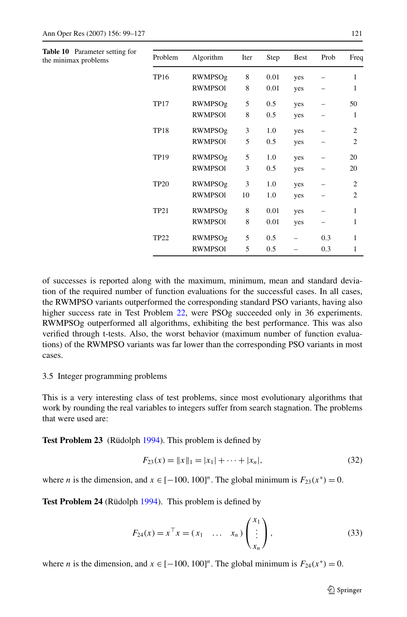<span id="page-22-0"></span>

| Table 10 Parameter setting for<br>the minimax problems | Problem     | Algorithm      | Iter | Step | <b>Best</b> | Prob | Freq           |
|--------------------------------------------------------|-------------|----------------|------|------|-------------|------|----------------|
|                                                        | <b>TP16</b> | <b>RWMPSOg</b> | 8    | 0.01 | yes         |      | 1              |
|                                                        |             | <b>RWMPSO1</b> | 8    | 0.01 | yes         |      | 1              |
|                                                        | <b>TP17</b> | <b>RWMPSOg</b> | 5    | 0.5  | yes         |      | 50             |
|                                                        |             | <b>RWMPSO1</b> | 8    | 0.5  | yes         |      | 1              |
|                                                        | <b>TP18</b> | <b>RWMPSOg</b> | 3    | 1.0  | yes         |      | $\mathbf{2}$   |
|                                                        |             | <b>RWMPSO1</b> | 5    | 0.5  | yes         |      | $\mathbf{2}$   |
|                                                        | <b>TP19</b> | <b>RWMPSOg</b> | 5    | 1.0  | yes         |      | 20             |
|                                                        |             | <b>RWMPSO1</b> | 3    | 0.5  | yes         |      | 20             |
|                                                        | <b>TP20</b> | <b>RWMPSOg</b> | 3    | 1.0  | yes         |      | $\overline{2}$ |
|                                                        |             | <b>RWMPSO1</b> | 10   | 1.0  | yes         |      | $\overline{2}$ |
|                                                        | TP21        | <b>RWMPSOg</b> | 8    | 0.01 | yes         |      | $\mathbf{1}$   |
|                                                        |             | <b>RWMPSO1</b> | 8    | 0.01 | yes         |      | $\mathbf{1}$   |
|                                                        | <b>TP22</b> | <b>RWMPSOg</b> | 5    | 0.5  |             | 0.3  | 1              |
|                                                        |             | <b>RWMPSO1</b> | 5    | 0.5  |             | 0.3  | 1              |

of successes is reported along with the maximum, minimum, mean and standard deviation of the required number of function evaluations for the successful cases. In all cases, the RWMPSO variants outperformed the corresponding standard PSO variants, having also higher success rate in Test Problem [22](#page-21-0), were PSOg succeeded only in 36 experiments. RWMPSOg outperformed all algorithms, exhibiting the best performance. This was also verified through t-tests. Also, the worst behavior (maximum number of function evaluations) of the RWMPSO variants was far lower than the corresponding PSO variants in most cases.

## 3.5 Integer programming problems

This is a very interesting class of test problems, since most evolutionary algorithms that work by rounding the real variables to integers suffer from search stagnation. The problems that were used are:

**Test Problem 23** (Rüdolph [1994\)](#page-28-0). This problem is defined by

$$
F_{23}(x) = \|x\|_1 = |x_1| + \dots + |x_n|,\tag{32}
$$

where *n* is the dimension, and  $x \in [-100, 100]^n$ . The global minimum is  $F_{23}(x^*) = 0$ .

**Test Problem 24** (Rüdolph [1994](#page-28-0)). This problem is defined by

$$
F_{24}(x) = x^{\top} x = (x_1 \quad \dots \quad x_n) \begin{pmatrix} x_1 \\ \vdots \\ x_n \end{pmatrix}, \tag{33}
$$

where *n* is the dimension, and  $x \in [-100, 100]^n$ . The global minimum is  $F_{24}(x^*) = 0$ .

 $\mathcal{D}$  Springer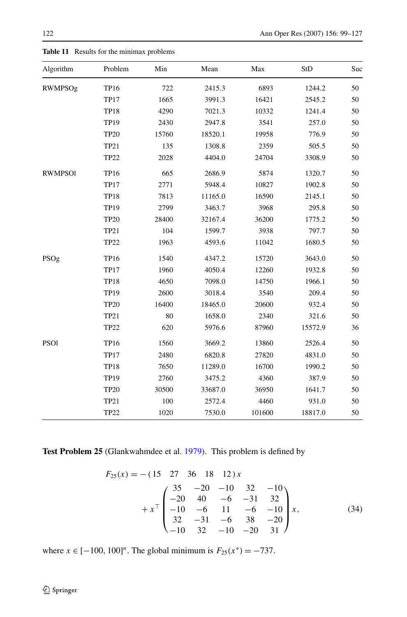|                                                                            | $\begin{cases} 32 & -31 & -6 & 38 & -2 \\ -10 & 32 & -10 & -20 & 3 \end{cases}$ |  |  |
|----------------------------------------------------------------------------|---------------------------------------------------------------------------------|--|--|
|                                                                            |                                                                                 |  |  |
|                                                                            |                                                                                 |  |  |
| where $x \in [-100, 100]^n$ . The global minimum is $F_{25}(x^*) = -737$ . |                                                                                 |  |  |
|                                                                            |                                                                                 |  |  |
|                                                                            |                                                                                 |  |  |
|                                                                            |                                                                                 |  |  |
| 2 Springer                                                                 |                                                                                 |  |  |

**Test Problem 25** (Glankwahmdee et al. [1979\)](#page-26-0). This problem is defined by  $F_{25}(x) = -(15 \quad 27 \quad 36 \quad 18 \quad 12)x$ 

> 35 −20 −10 32 −10  $-20$  40  $-6$   $-31$  32 −10 −6 11 −6 −10 32 −31 −6 38 −20 −10 32 −10 −20 31

 $\lambda$ 

 $\sqrt{ }$ 

*x,* (34)

 $\sqrt{2}$ 

 $\vert$ 

 $+x^{\top}$ 

|                | TP17        | 1665  | 3991.3  | 16421  | 2545.2  | 50 |
|----------------|-------------|-------|---------|--------|---------|----|
|                | <b>TP18</b> | 4290  | 7021.3  | 10332  | 1241.4  | 50 |
|                | <b>TP19</b> | 2430  | 2947.8  | 3541   | 257.0   | 50 |
|                | <b>TP20</b> | 15760 | 18520.1 | 19958  | 776.9   | 50 |
|                | TP21        | 135   | 1308.8  | 2359   | 505.5   | 50 |
|                | <b>TP22</b> | 2028  | 4404.0  | 24704  | 3308.9  | 50 |
| <b>RWMPSOI</b> | <b>TP16</b> | 665   | 2686.9  | 5874   | 1320.7  | 50 |
|                | <b>TP17</b> | 2771  | 5948.4  | 10827  | 1902.8  | 50 |
|                | <b>TP18</b> | 7813  | 11165.0 | 16590  | 2145.1  | 50 |
|                | <b>TP19</b> | 2799  | 3463.7  | 3968   | 295.8   | 50 |
|                | <b>TP20</b> | 28400 | 32167.4 | 36200  | 1775.2  | 50 |
|                | TP21        | 104   | 1599.7  | 3938   | 797.7   | 50 |
|                | <b>TP22</b> | 1963  | 4593.6  | 11042  | 1680.5  | 50 |
| PSOg           | <b>TP16</b> | 1540  | 4347.2  | 15720  | 3643.0  | 50 |
|                | <b>TP17</b> | 1960  | 4050.4  | 12260  | 1932.8  | 50 |
|                | <b>TP18</b> | 4650  | 7098.0  | 14750  | 1966.1  | 50 |
|                | <b>TP19</b> | 2600  | 3018.4  | 3540   | 209.4   | 50 |
|                | <b>TP20</b> | 16400 | 18465.0 | 20600  | 932.4   | 50 |
|                | TP21        | 80    | 1658.0  | 2340   | 321.6   | 50 |
|                | <b>TP22</b> | 620   | 5976.6  | 87960  | 15572.9 | 36 |
| <b>PSO1</b>    | <b>TP16</b> | 1560  | 3669.2  | 13860  | 2526.4  | 50 |
|                | <b>TP17</b> | 2480  | 6820.8  | 27820  | 4831.0  | 50 |
|                | <b>TP18</b> | 7650  | 11289.0 | 16700  | 1990.2  | 50 |
|                | <b>TP19</b> | 2760  | 3475.2  | 4360   | 387.9   | 50 |
|                | <b>TP20</b> | 30500 | 33687.0 | 36950  | 1641.7  | 50 |
|                | TP21        | 100   | 2572.4  | 4460   | 931.0   | 50 |
|                | <b>TP22</b> | 1020  | 7530.0  | 101600 | 18817.0 | 50 |

Algorithm Problem Min Mean Max StD Suc RWMPSOg TP16 722 2415*.*3 6893 1244*.*2 50

<span id="page-23-0"></span>**Table 11** Results for the minimax problems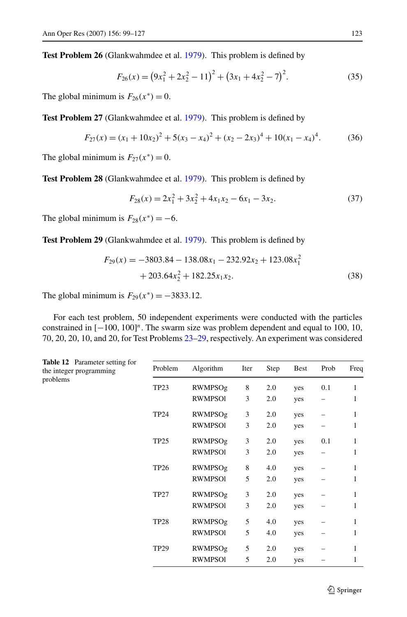<span id="page-24-0"></span>**Test Problem 26** (Glankwahmdee et al. [1979\)](#page-26-0). This problem is defined by

$$
F_{26}(x) = (9x_1^2 + 2x_2^2 - 11)^2 + (3x_1 + 4x_2^2 - 7)^2.
$$
 (35)

The global minimum is  $F_{26}(x^*) = 0$ .

**Test Problem 27** (Glankwahmdee et al. [1979\)](#page-26-0). This problem is defined by

$$
F_{27}(x) = (x_1 + 10x_2)^2 + 5(x_3 - x_4)^2 + (x_2 - 2x_3)^4 + 10(x_1 - x_4)^4.
$$
 (36)

The global minimum is  $F_{27}(x^*) = 0$ .

**Test Problem 28** (Glankwahmdee et al. [1979\)](#page-26-0). This problem is defined by

$$
F_{28}(x) = 2x_1^2 + 3x_2^2 + 4x_1x_2 - 6x_1 - 3x_2.
$$
 (37)

The global minimum is  $F_{28}(x^*) = -6$ .

**Test Problem 29** (Glankwahmdee et al. [1979\)](#page-26-0). This problem is defined by

$$
F_{29}(x) = -3803.84 - 138.08x_1 - 232.92x_2 + 123.08x_1^2
$$
  
+ 203.64x<sub>2</sub><sup>2</sup> + 182.25x<sub>1</sub>x<sub>2</sub>. (38)

The global minimum is  $F_{29}(x^*) = -3833.12$ .

For each test problem, 50 independent experiments were conducted with the particles constrained in [−100*,* 100] *<sup>n</sup>*. The swarm size was problem dependent and equal to 100, 10, 70, 20, 20, 10, and 20, for Test Problems [23–](#page-22-0)29, respectively. An experiment was considered

| <b>Table 12</b> Parameter setting for<br>the integer programming | Problem     | Algorithm      | Iter | Step | <b>Best</b> | Prob | Freq |
|------------------------------------------------------------------|-------------|----------------|------|------|-------------|------|------|
| problems                                                         | <b>TP23</b> | <b>RWMPSOg</b> | 8    | 2.0  | yes         | 0.1  | 1    |
|                                                                  |             | <b>RWMPSO1</b> | 3    | 2.0  | yes         | -    | 1    |
|                                                                  | TP24        | <b>RWMPSOg</b> | 3    | 2.0  | yes         |      | 1    |
|                                                                  |             | <b>RWMPSO1</b> | 3    | 2.0  | yes         |      | 1    |
|                                                                  | <b>TP25</b> | <b>RWMPSOg</b> | 3    | 2.0  | yes         | 0.1  | 1    |
|                                                                  |             | <b>RWMPSO1</b> | 3    | 2.0  | yes         |      | 1    |
|                                                                  | <b>TP26</b> | <b>RWMPSOg</b> | 8    | 4.0  | yes         |      | 1    |
|                                                                  |             | <b>RWMPSO1</b> | 5    | 2.0  | yes         |      | 1    |
|                                                                  | TP27        | <b>RWMPSOg</b> | 3    | 2.0  | yes         |      | 1    |
|                                                                  |             | <b>RWMPSO1</b> | 3    | 2.0  | yes         |      | 1    |
|                                                                  | <b>TP28</b> | <b>RWMPSOg</b> | 5    | 4.0  | yes         |      | 1    |
|                                                                  |             | <b>RWMPSO1</b> | 5    | 4.0  | yes         |      | 1    |
|                                                                  | <b>TP29</b> | <b>RWMPSOg</b> | 5    | 2.0  | yes         |      | 1    |
|                                                                  |             | <b>RWMPSO1</b> | 5    | 2.0  | yes         |      | 1    |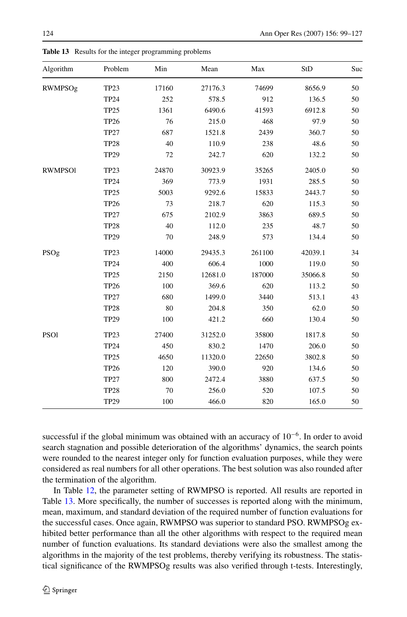**Table 13** Results for the integer programming problems

| Algorithm      | Problem     | Min   | Mean    | Max    | StD     | Suc |
|----------------|-------------|-------|---------|--------|---------|-----|
| <b>RWMPSOg</b> | <b>TP23</b> | 17160 | 27176.3 | 74699  | 8656.9  | 50  |
|                | <b>TP24</b> | 252   | 578.5   | 912    | 136.5   | 50  |
|                | <b>TP25</b> | 1361  | 6490.6  | 41593  | 6912.8  | 50  |
|                | <b>TP26</b> | 76    | 215.0   | 468    | 97.9    | 50  |
|                | <b>TP27</b> | 687   | 1521.8  | 2439   | 360.7   | 50  |
|                | <b>TP28</b> | 40    | 110.9   | 238    | 48.6    | 50  |
|                | <b>TP29</b> | 72    | 242.7   | 620    | 132.2   | 50  |
| <b>RWMPSO1</b> | TP23        | 24870 | 30923.9 | 35265  | 2405.0  | 50  |
|                | TP24        | 369   | 773.9   | 1931   | 285.5   | 50  |
|                | <b>TP25</b> | 5003  | 9292.6  | 15833  | 2443.7  | 50  |
|                | <b>TP26</b> | 73    | 218.7   | 620    | 115.3   | 50  |
|                | <b>TP27</b> | 675   | 2102.9  | 3863   | 689.5   | 50  |
|                | <b>TP28</b> | 40    | 112.0   | 235    | 48.7    | 50  |
|                | <b>TP29</b> | 70    | 248.9   | 573    | 134.4   | 50  |
| PSOg           | TP23        | 14000 | 29435.3 | 261100 | 42039.1 | 34  |
|                | <b>TP24</b> | 400   | 606.4   | 1000   | 119.0   | 50  |
|                | <b>TP25</b> | 2150  | 12681.0 | 187000 | 35066.8 | 50  |
|                | <b>TP26</b> | 100   | 369.6   | 620    | 113.2   | 50  |
|                | <b>TP27</b> | 680   | 1499.0  | 3440   | 513.1   | 43  |
|                | <b>TP28</b> | 80    | 204.8   | 350    | 62.0    | 50  |
|                | <b>TP29</b> | 100   | 421.2   | 660    | 130.4   | 50  |
| <b>PSO1</b>    | TP23        | 27400 | 31252.0 | 35800  | 1817.8  | 50  |
|                | TP24        | 450   | 830.2   | 1470   | 206.0   | 50  |
|                | <b>TP25</b> | 4650  | 11320.0 | 22650  | 3802.8  | 50  |
|                | <b>TP26</b> | 120   | 390.0   | 920    | 134.6   | 50  |
|                | TP27        | 800   | 2472.4  | 3880   | 637.5   | 50  |
|                | <b>TP28</b> | 70    | 256.0   | 520    | 107.5   | 50  |
|                | <b>TP29</b> | 100   | 466.0   | 820    | 165.0   | 50  |

successful if the global minimum was obtained with an accuracy of  $10^{-6}$ . In order to avoid search stagnation and possible deterioration of the algorithms' dynamics, the search points were rounded to the nearest integer only for function evaluation purposes, while they were considered as real numbers for all other operations. The best solution was also rounded after the termination of the algorithm.

In Table [12](#page-24-0), the parameter setting of RWMPSO is reported. All results are reported in Table 13. More specifically, the number of successes is reported along with the minimum, mean, maximum, and standard deviation of the required number of function evaluations for the successful cases. Once again, RWMPSO was superior to standard PSO. RWMPSOg exhibited better performance than all the other algorithms with respect to the required mean number of function evaluations. Its standard deviations were also the smallest among the algorithms in the majority of the test problems, thereby verifying its robustness. The statistical significance of the RWMPSOg results was also verified through t-tests. Interestingly,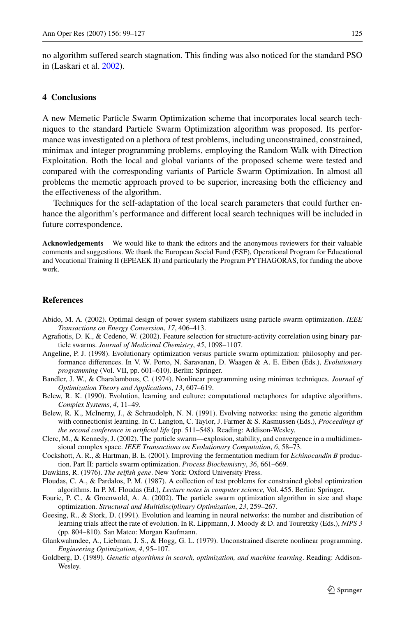<span id="page-26-0"></span>no algorithm suffered search stagnation. This finding was also noticed for the standard PSO in (Laskari et al. [2002](#page-27-0)).

# **4 Conclusions**

A new Memetic Particle Swarm Optimization scheme that incorporates local search techniques to the standard Particle Swarm Optimization algorithm was proposed. Its performance was investigated on a plethora of test problems, including unconstrained, constrained, minimax and integer programming problems, employing the Random Walk with Direction Exploitation. Both the local and global variants of the proposed scheme were tested and compared with the corresponding variants of Particle Swarm Optimization. In almost all problems the memetic approach proved to be superior, increasing both the efficiency and the effectiveness of the algorithm.

Techniques for the self-adaptation of the local search parameters that could further enhance the algorithm's performance and different local search techniques will be included in future correspondence.

**Acknowledgements** We would like to thank the editors and the anonymous reviewers for their valuable comments and suggestions. We thank the European Social Fund (ESF), Operational Program for Educational and Vocational Training II (EPEAEK II) and particularly the Program PYTHAGORAS, for funding the above work.

## **References**

- Abido, M. A. (2002). Optimal design of power system stabilizers using particle swarm optimization. *IEEE Transactions on Energy Conversion*, *17*, 406–413.
- Agrafiotis, D. K., & Cedeno, W. (2002). Feature selection for structure-activity correlation using binary particle swarms. *Journal of Medicinal Chemistry*, *45*, 1098–1107.
- Angeline, P. J. (1998). Evolutionary optimization versus particle swarm optimization: philosophy and performance differences. In V. W. Porto, N. Saravanan, D. Waagen & A. E. Eiben (Eds.), *Evolutionary programming* (Vol. VII, pp. 601–610). Berlin: Springer.
- Bandler, J. W., & Charalambous, C. (1974). Nonlinear programming using minimax techniques. *Journal of Optimization Theory and Applications*, *13*, 607–619.
- Belew, R. K. (1990). Evolution, learning and culture: computational metaphores for adaptive algorithms. *Complex Systems*, *4*, 11–49.
- Belew, R. K., McInerny, J., & Schraudolph, N. N. (1991). Evolving networks: using the genetic algorithm with connectionist learning. In C. Langton, C. Taylor, J. Farmer & S. Rasmussen (Eds.), *Proceedings of the second conference in artificial life* (pp. 511–548). Reading: Addison-Wesley.
- Clerc, M., & Kennedy, J. (2002). The particle swarm—explosion, stability, and convergence in a multidimensional complex space. *IEEE Transactions on Evolutionary Computation*, *6*, 58–73.
- Cockshott, A. R., & Hartman, B. E. (2001). Improving the fermentation medium for *Echinocandin B* production. Part II: particle swarm optimization. *Process Biochemistry*, *36*, 661–669.
- Dawkins, R. (1976). *The selfish gene*. New York: Oxford University Press.
- Floudas, C. A., & Pardalos, P. M. (1987). A collection of test problems for constrained global optimization algorithms. In P. M. Floudas (Ed.), *Lecture notes in computer science,* Vol. 455. Berlin: Springer.
- Fourie, P. C., & Groenwold, A. A. (2002). The particle swarm optimization algorithm in size and shape optimization. *Structural and Multidisciplinary Optimization*, *23*, 259–267.
- Geesing, R., & Stork, D. (1991). Evolution and learning in neural networks: the number and distribution of learning trials affect the rate of evolution. In R. Lippmann, J. Moody & D. and Touretzky (Eds.), *NIPS 3* (pp. 804–810). San Mateo: Morgan Kaufmann.
- Glankwahmdee, A., Liebman, J. S., & Hogg, G. L. (1979). Unconstrained discrete nonlinear programming. *Engineering Optimization*, *4*, 95–107.
- Goldberg, D. (1989). *Genetic algorithms in search, optimization, and machine learning*. Reading: Addison-Wesley.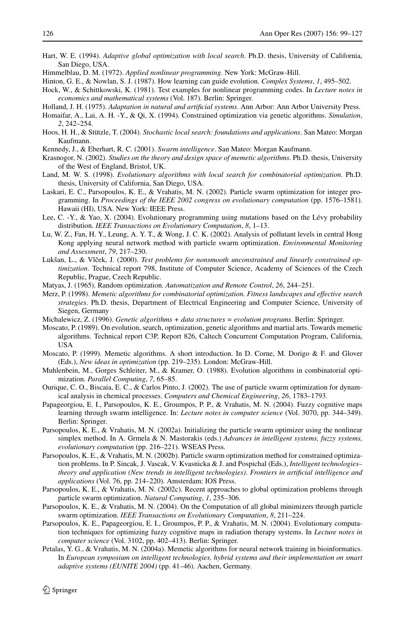- <span id="page-27-0"></span>Hart, W. E. (1994). *Adaptive global optimization with local search*. Ph.D. thesis, University of California, San Diego, USA.
- Himmelblau, D. M. (1972). *Applied nonlinear programming*. New York: McGraw-Hill.
- Hinton, G. E., & Nowlan, S. J. (1987). How learning can guide evolution. *Complex Systems*, *1*, 495–502.
- Hock, W., & Schittkowski, K. (1981). Test examples for nonlinear programming codes. In *Lecture notes in economics and mathematical systems* (Vol. 187). Berlin: Springer.
- Holland, J. H. (1975). *Adaptation in natural and artificial systems*. Ann Arbor: Ann Arbor University Press.
- Homaifar, A., Lai, A. H. -Y., & Qi, X. (1994). Constrained optimization via genetic algorithms. *Simulation*, *2*, 242–254.
- Hoos, H. H., & Stützle, T. (2004). *Stochastic local search: foundations and applications*. San Mateo: Morgan Kaufmann.
- Kennedy, J., & Eberhart, R. C. (2001). *Swarm intelligence*. San Mateo: Morgan Kaufmann.
- Krasnogor, N. (2002). *Studies on the theory and design space of memetic algorithms*. Ph.D. thesis, University of the West of England, Bristol, UK.
- Land, M. W. S. (1998). *Evolutionary algorithms with local search for combinatorial optimization*. Ph.D. thesis, University of California, San Diego, USA.
- Laskari, E. C., Parsopoulos, K. E., & Vrahatis, M. N. (2002). Particle swarm optimization for integer programming. In *Proceedings of the IEEE 2002 congress on evolutionary computation* (pp. 1576–1581). Hawaii (HI), USA. New York: IEEE Press.
- Lee, C. -Y., & Yao, X. (2004). Evolutionary programming using mutations based on the Lévy probability distribution. *IEEE Transactions on Evolutionary Computation*, *8*, 1–13.
- Lu, W. Z., Fan, H. Y., Leung, A. Y. T., & Wong, J. C. K. (2002). Analysis of pollutant levels in central Hong Kong applying neural network method with particle swarm optimization. *Environmental Monitoring and Assessment*, *79*, 217–230.
- Lukšan, L., & Vlček, J. (2000). Test problems for nonsmooth unconstrained and linearly constrained op*timization*. Technical report 798, Institute of Computer Science, Academy of Sciences of the Czech Republic, Prague, Czech Republic.
- Matyas, J. (1965). Random optimization. *Automatization and Remote Control*, *26*, 244–251.
- Merz, P. (1998). *Memetic algorithms for combinatorial optimization. Fitness landscapes and effective search strategies*. Ph.D. thesis, Department of Electrical Engineering and Computer Science, University of Siegen, Germany
- Michalewicz, Z. (1996). *Genetic algorithms + data structures = evolution programs*. Berlin: Springer.
- Moscato, P. (1989). On evolution, search, optimization, genetic algorithms and martial arts. Towards memetic algorithms. Technical report C3P, Report 826, Caltech Concurrent Computation Program, California, USA
- Moscato, P. (1999). Memetic algorithms. A short introduction. In D. Corne, M. Dorigo & F. and Glover (Eds.), *New ideas in optimization* (pp. 219–235). London: McGraw-Hill.
- Muhlenbein, M., Gorges Schleiter, M., & Kramer, O. (1988). Evolution algorithms in combinatorial optimization. *Parallel Computing*, *7*, 65–85.
- Ourique, C. O., Biscaia, E. C., & Carlos Pinto, J. (2002). The use of particle swarm optimization for dynamical analysis in chemical processes. *Computers and Chemical Engineering*, *26*, 1783–1793.
- Papageorgiou, E. I., Parsopoulos, K. E., Groumpos, P. P., & Vrahatis, M. N. (2004). Fuzzy cognitive maps learning through swarm intelligence. In: *Lecture notes in computer science* (Vol. 3070, pp. 344–349). Berlin: Springer.
- Parsopoulos, K. E., & Vrahatis, M. N. (2002a). Initializing the particle swarm optimizer using the nonlinear simplex method. In A. Grmela & N. Mastorakis (eds.) *Advances in intelligent systems, fuzzy systems, evolutionary computation* (pp. 216–221). WSEAS Press.
- Parsopoulos, K. E., & Vrahatis, M. N. (2002b). Particle swarm optimization method for constrained optimization problems. In P. Sincak, J. Vascak, V. Kvasnicka & J. and Pospichal (Eds.), *Intelligent technologies– theory and application (New trends in intelligent technologies)*. *Frontiers in artificial intelligence and applications* (Vol. 76, pp. 214–220). Amsterdam: IOS Press.
- Parsopoulos, K. E., & Vrahatis, M. N. (2002c). Recent approaches to global optimization problems through particle swarm optimization. *Natural Computing*, *1*, 235–306.
- Parsopoulos, K. E., & Vrahatis, M. N. (2004). On the Computation of all global minimizers through particle swarm optimization. *IEEE Transactions on Evolutionary Computation*, *8*, 211–224.
- Parsopoulos, K. E., Papageorgiou, E. I., Groumpos, P. P., & Vrahatis, M. N. (2004). Evolutionary computation techniques for optimizing fuzzy cognitive maps in radiation therapy systems. In *Lecture notes in computer science* (Vol. 3102, pp. 402–413). Berlin: Springer.
- Petalas, Y. G., & Vrahatis, M. N. (2004a). Memetic algorithms for neural network training in bioinformatics. In *European symposium on intelligent technologies, hybrid systems and their implementation on smart adaptive systems (EUNITE 2004)* (pp. 41–46). Aachen, Germany.